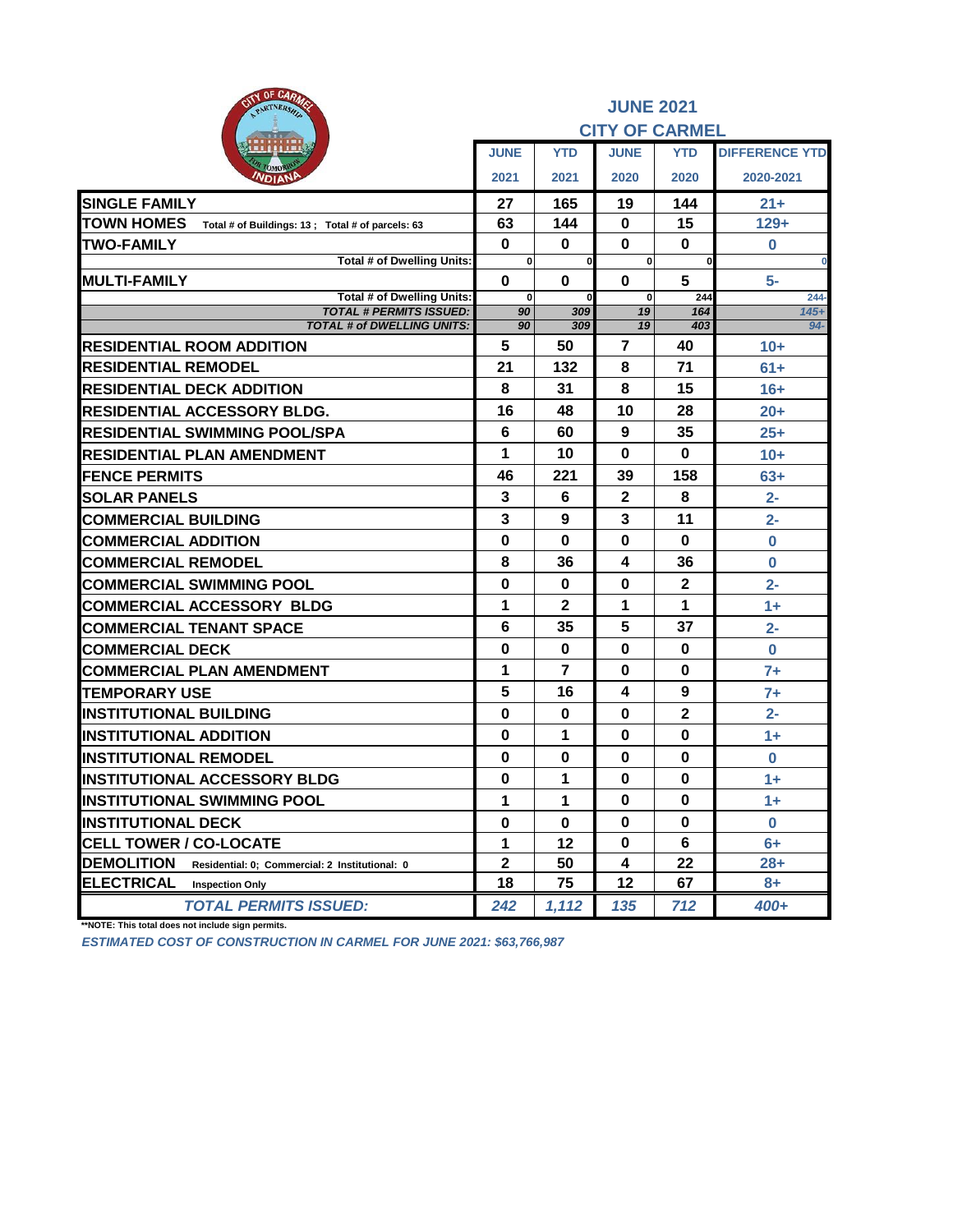| <b>PATY OF CARMS</b><br>PARTNERSHA                                     |                         |                      | <b>JUNE 2021</b><br><b>CITY OF CARMEL</b> |                |                       |
|------------------------------------------------------------------------|-------------------------|----------------------|-------------------------------------------|----------------|-----------------------|
|                                                                        | <b>JUNE</b>             | <b>YTD</b>           | <b>JUNE</b>                               | <b>YTD</b>     | <b>DIFFERENCE YTD</b> |
| омо<br><b>NDIANP</b>                                                   | 2021                    | 2021                 | 2020                                      | 2020           | 2020-2021             |
| <b>SINGLE FAMILY</b>                                                   | 27                      | 165                  | 19                                        | 144            | $21 +$                |
| <b>TOWN HOMES</b><br>Total # of Buildings: 13 ; Total # of parcels: 63 | 63                      | 144                  | $\mathbf 0$                               | 15             | $129+$                |
| <b>TWO-FAMILY</b>                                                      | $\bf{0}$                | $\bf{0}$             | 0                                         | 0              | $\bf{0}$              |
| Total # of Dwelling Units:                                             | $\mathbf{0}$            | <sub>0</sub>         | $\mathbf{0}$                              | $\bf{0}$       | $\bf{0}$              |
| <b>MULTI-FAMILY</b><br>Total # of Dwelling Units:                      | $\bf{0}$<br>$\mathbf 0$ | $\bf{0}$<br>$\bf{0}$ | $\bf{0}$<br>$\mathbf 0$                   | 5<br>244       | $5-$<br>$244 -$       |
| <b>TOTAL # PERMITS ISSUED:</b>                                         | 90                      | 309                  | 19                                        | 164            | $145+$                |
| <b>TOTAL # of DWELLING UNITS:</b>                                      | 90                      | 309                  | 19                                        | 403            | $94 -$                |
| <b>RESIDENTIAL ROOM ADDITION</b>                                       | 5                       | 50                   | $\overline{7}$                            | 40             | $10+$                 |
| <b>RESIDENTIAL REMODEL</b>                                             | 21                      | 132                  | 8                                         | 71             | $61+$                 |
| <b>RESIDENTIAL DECK ADDITION</b>                                       | 8                       | 31                   | 8                                         | 15             | $16+$                 |
| <b>RESIDENTIAL ACCESSORY BLDG.</b>                                     | 16                      | 48                   | 10                                        | 28             | $20+$                 |
| <b>RESIDENTIAL SWIMMING POOL/SPA</b>                                   | 6                       | 60                   | 9                                         | 35             | $25+$                 |
| RESIDENTIAL PLAN AMENDMENT                                             | 1                       | 10                   | 0                                         | 0              | $10+$                 |
| <b>FENCE PERMITS</b>                                                   | 46                      | 221                  | 39                                        | 158            | $63+$                 |
| <b>SOLAR PANELS</b>                                                    | 3                       | 6                    | $\mathbf 2$                               | 8              | $2 -$                 |
| <b>COMMERCIAL BUILDING</b>                                             | 3                       | 9                    | 3                                         | 11             | $2-$                  |
| <b>COMMERCIAL ADDITION</b>                                             | 0                       | 0                    | 0                                         | 0              | 0                     |
| <b>COMMERCIAL REMODEL</b>                                              | 8                       | 36                   | 4                                         | 36             | $\bf{0}$              |
| <b>COMMERCIAL SWIMMING POOL</b>                                        | $\mathbf 0$             | $\bf{0}$             | $\mathbf 0$                               | $\overline{2}$ | $2 -$                 |
| <b>COMMERCIAL ACCESSORY BLDG</b>                                       | 1                       | 2                    | 1                                         | 1              | $1 +$                 |
| <b>COMMERCIAL TENANT SPACE</b>                                         | 6                       | 35                   | 5                                         | 37             | $2 -$                 |
| <b>COMMERCIAL DECK</b>                                                 | $\bf{0}$                | $\bf{0}$             | $\bf{0}$                                  | 0              | $\mathbf 0$           |
| <b>COMMERCIAL PLAN AMENDMENT</b>                                       | 1                       | 7                    | 0                                         | 0              | $7+$                  |
| <b>TEMPORARY USE</b>                                                   | 5                       | 16                   | 4                                         | 9              | $7+$                  |
| <b>INSTITUTIONAL BUILDING</b>                                          | $\bf{0}$                | $\bf{0}$             | $\bf{0}$                                  | $\mathbf{2}$   | $2 -$                 |
| <b>INSTITUTIONAL ADDITION</b>                                          | 0                       | 1                    | 0                                         | $\bf{0}$       | $1+$                  |
| <b>INSTITUTIONAL REMODEL</b>                                           | $\bf{0}$                | 0                    | 0                                         | 0              | 0                     |
| <b>INSTITUTIONAL ACCESSORY BLDG</b>                                    | $\bf{0}$                | 1                    | 0                                         | $\bf{0}$       | $1+$                  |
| <b>INSTITUTIONAL SWIMMING POOL</b>                                     | 1                       | 1                    | 0                                         | 0              | $1+$                  |
| <b>INSTITUTIONAL DECK</b>                                              | $\bf{0}$                | $\bf{0}$             | $\bf{0}$                                  | $\bf{0}$       | $\bf{0}$              |
| <b>CELL TOWER / CO-LOCATE</b>                                          | 1                       | $12 \,$              | 0                                         | 6              | $6+$                  |
| <b>DEMOLITION</b><br>Residential: 0; Commercial: 2 Institutional: 0    | $\mathbf{2}$            | 50                   | 4                                         | 22             | 28+                   |
| <b>ELECTRICAL</b><br><b>Inspection Only</b>                            | 18                      | 75                   | 12                                        | 67             | 8+                    |
| <b>TOTAL PERMITS ISSUED:</b>                                           | 242                     | 1,112                | 135                                       | 712            | $400+$                |

**\*\*NOTE: This total does not include sign permits.**

*ESTIMATED COST OF CONSTRUCTION IN CARMEL FOR JUNE 2021: \$63,766,987*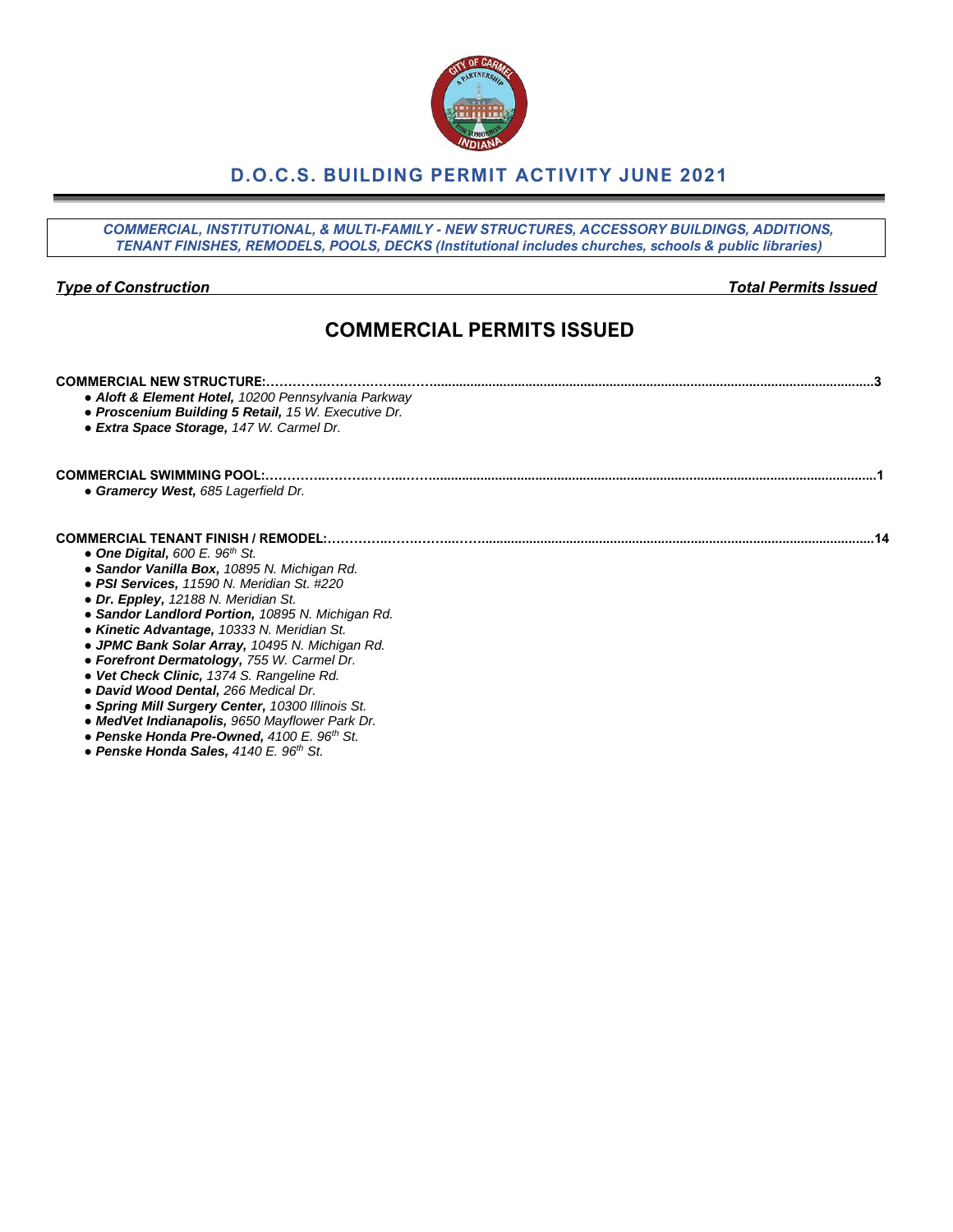### **D.O.C.S. BUILDING PERMIT ACTIVITY JUNE 2021**

*COMMERCIAL, INSTITUTIONAL, & MULTI-FAMILY - NEW STRUCTURES, ACCESSORY BUILDINGS, ADDITIONS, TENANT FINISHES, REMODELS, POOLS, DECKS (Institutional includes churches, schools & public libraries)*

*Type of Construction Total Permits Issued*

## **COMMERCIAL PERMITS ISSUED**

| <b>COMMERCIAL NEW STRUCTURE:</b><br>• Aloft & Element Hotel, 10200 Pennsylvania Parkway<br>• Proscenium Building 5 Retail, 15 W. Executive Dr.<br>• Extra Space Storage, 147 W. Carmel Dr. |
|--------------------------------------------------------------------------------------------------------------------------------------------------------------------------------------------|
| <b>COMMERCIAL SWIMMING POOL:.</b>                                                                                                                                                          |
| • Gramercy West, 685 Lagerfield Dr.                                                                                                                                                        |
| COMMERCIAL TENANT FINISH / REMODEL:                                                                                                                                                        |
| • One Digital, 600 E. $96th$ St.                                                                                                                                                           |
| • Sandor Vanilla Box, 10895 N. Michigan Rd.<br>• PSI Services, 11590 N. Meridian St. #220                                                                                                  |
| • Dr. Eppley, 12188 N. Meridian St.                                                                                                                                                        |
| • Sandor Landlord Portion, 10895 N. Michigan Rd.                                                                                                                                           |
| • Kinetic Advantage, 10333 N. Meridian St.                                                                                                                                                 |
| • JPMC Bank Solar Array, 10495 N. Michigan Rd.                                                                                                                                             |
| • Forefront Dermatology, 755 W. Carmel Dr.                                                                                                                                                 |
| • Vet Check Clinic, 1374 S. Rangeline Rd.                                                                                                                                                  |
| • David Wood Dental, 266 Medical Dr.                                                                                                                                                       |
| • Spring Mill Surgery Center, 10300 Illinois St.                                                                                                                                           |

- *● MedVet Indianapolis, 9650 Mayflower Park Dr.*
- *● Penske Honda Pre-Owned, 4100 E. 96th St.*
- *● Penske Honda Sales, 4140 E. 96th St.*

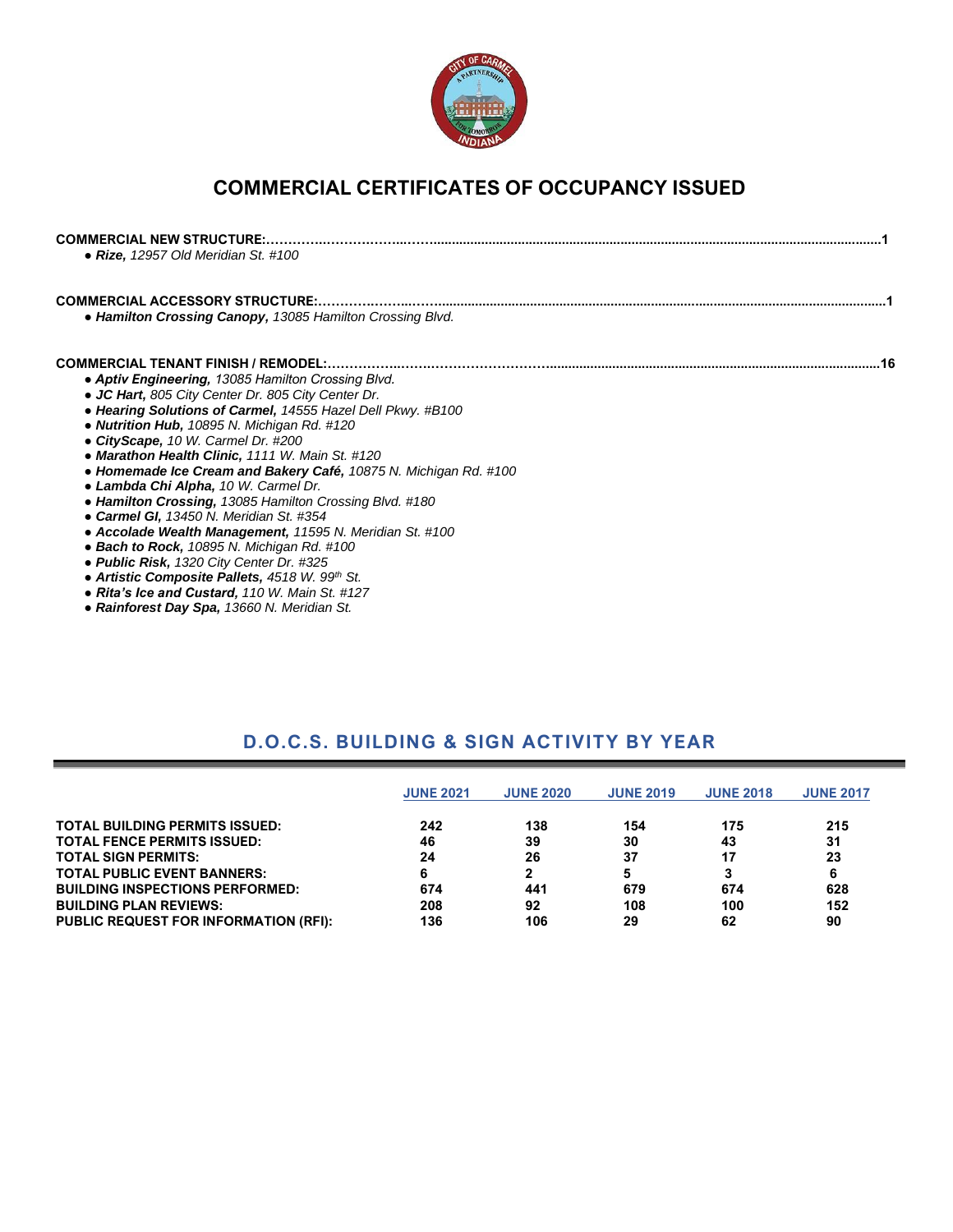

# **COMMERCIAL CERTIFICATES OF OCCUPANCY ISSUED**

| <b>COMMERCIAL NEW STRUCTURE:</b><br>• Rize, 12957 Old Meridian St. #100                                  |  |
|----------------------------------------------------------------------------------------------------------|--|
| <b>COMMERCIAL ACCESSORY STRUCTURE:</b><br>• Hamilton Crossing Canopy, 13085 Hamilton Crossing Blvd.      |  |
| <b>COMMERCIAL TENANT FINISH / REMODEL:</b>                                                               |  |
|                                                                                                          |  |
| • Aptiv Engineering, 13085 Hamilton Crossing Blvd.<br>• JC Hart, 805 City Center Dr. 805 City Center Dr. |  |
| • Hearing Solutions of Carmel, 14555 Hazel Dell Pkwy. #B100                                              |  |
|                                                                                                          |  |
| • Nutrition Hub, 10895 N. Michigan Rd. #120                                                              |  |
| • CityScape, 10 W. Carmel Dr. #200                                                                       |  |
| • Marathon Health Clinic, 1111 W. Main St. #120                                                          |  |
| • Homemade Ice Cream and Bakery Café, 10875 N. Michigan Rd. #100                                         |  |
| • Lambda Chi Alpha, 10 W. Carmel Dr.                                                                     |  |
| • Hamilton Crossing, 13085 Hamilton Crossing Blvd. #180                                                  |  |
| • Carmel GI, 13450 N. Meridian St. #354                                                                  |  |
| • Accolade Wealth Management, 11595 N. Meridian St. #100                                                 |  |
| • Bach to Rock, 10895 N. Michigan Rd. #100                                                               |  |
| • Public Risk, 1320 City Center Dr. #325                                                                 |  |
| • Artistic Composite Pallets, 4518 W. 99th St.                                                           |  |
| • Rita's Ice and Custard, 110 W. Main St. #127                                                           |  |
|                                                                                                          |  |

*● Rainforest Day Spa, 13660 N. Meridian St.*

### **D.O.C.S. BUILDING & SIGN ACTIVITY BY YEAR**

|                                              | <b>JUNE 2021</b> | <b>JUNE 2020</b> | <b>JUNE 2019</b> | <b>JUNE 2018</b> | <b>JUNE 2017</b> |
|----------------------------------------------|------------------|------------------|------------------|------------------|------------------|
| <b>TOTAL BUILDING PERMITS ISSUED:</b>        | 242              | 138              | 154              | 175              | 215              |
| <b>TOTAL FENCE PERMITS ISSUED:</b>           | 46               | 39               | 30               | 43               | 31               |
| <b>TOTAL SIGN PERMITS:</b>                   | 24               | 26               | 37               | 17               | 23               |
| <b>TOTAL PUBLIC EVENT BANNERS:</b>           |                  | 2                | 5                |                  | 6                |
| <b>BUILDING INSPECTIONS PERFORMED:</b>       | 674              | 441              | 679              | 674              | 628              |
| <b>BUILDING PLAN REVIEWS:</b>                | 208              | 92               | 108              | 100              | 152              |
| <b>PUBLIC REQUEST FOR INFORMATION (RFI):</b> | 136              | 106              | 29               | 62               | 90               |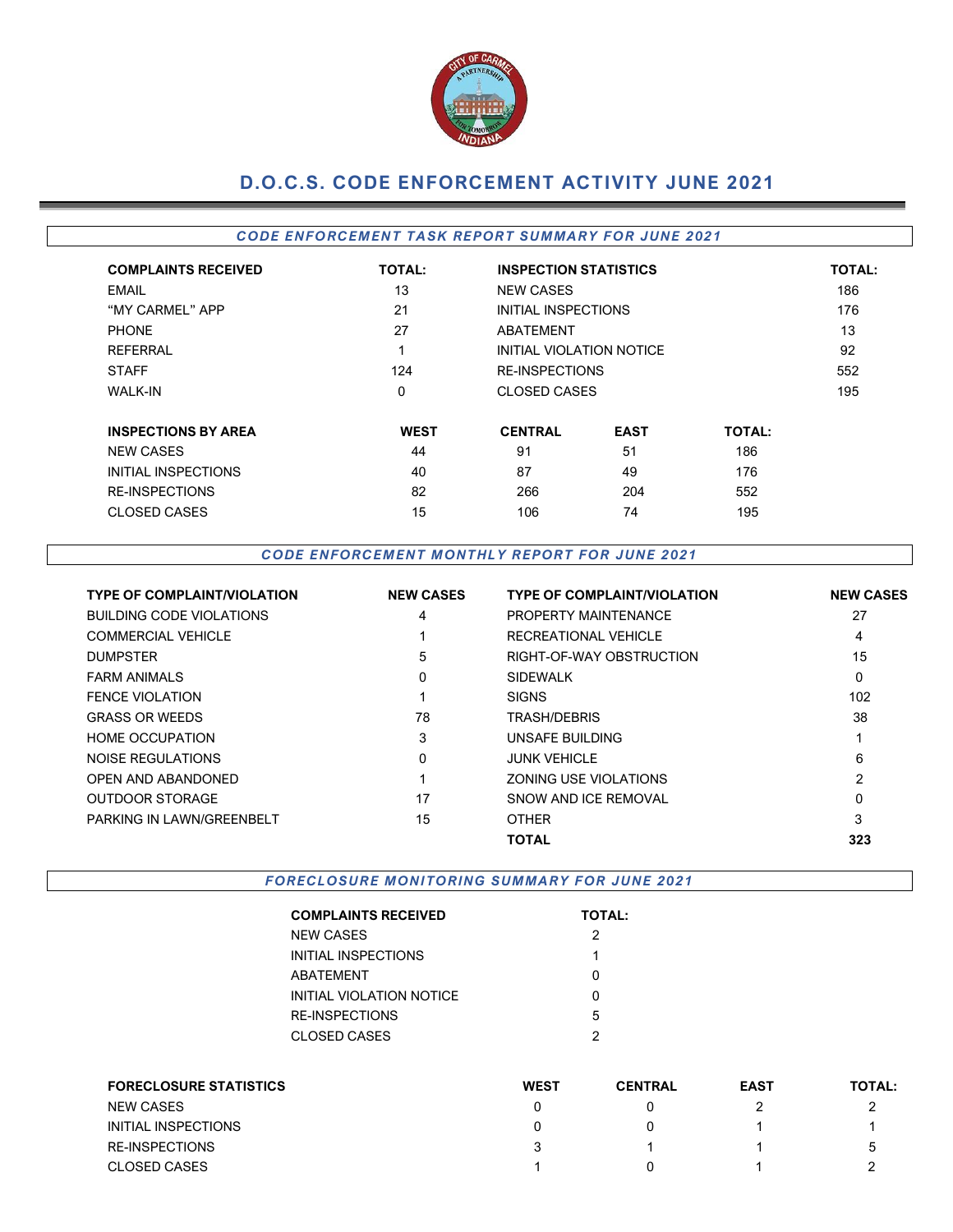

## **D.O.C.S. CODE ENFORCEMENT ACTIVITY JUNE 2021**

### *CODE EN FORCEMEN T TA SK REPOR T SUMMARY FOR JUNE 2021*

| <b>COMPLAINTS RECEIVED</b> | <b>TOTAL:</b> | <b>INSPECTION STATISTICS</b> |             |               | <b>TOTAL:</b> |
|----------------------------|---------------|------------------------------|-------------|---------------|---------------|
| EMAIL                      | 13            | <b>NEW CASES</b>             |             |               | 186           |
| "MY CARMEL" APP            | 21            | INITIAL INSPECTIONS          |             |               | 176           |
| <b>PHONE</b>               | 27            | <b>ABATEMENT</b>             |             |               | 13            |
| <b>REFERRAL</b>            | 1             | INITIAL VIOLATION NOTICE     |             |               | 92            |
| <b>STAFF</b>               | 124           | <b>RE-INSPECTIONS</b>        |             |               | 552           |
| <b>WALK-IN</b>             | 0             | <b>CLOSED CASES</b>          |             |               | 195           |
| <b>INSPECTIONS BY AREA</b> | <b>WEST</b>   | <b>CENTRAL</b>               | <b>EAST</b> | <b>TOTAL:</b> |               |
| <b>NEW CASES</b>           | 44            | 91                           | 51          | 186           |               |
| INITIAL INSPECTIONS        | 40            | 87                           | 49          | 176           |               |
| <b>RE-INSPECTIONS</b>      | 82            | 266                          | 204         | 552           |               |
| <b>CLOSED CASES</b>        | 15            | 106                          | 74          | 195           |               |

#### *CODE EN FORCEM EN T M ONTHLY R EPORT FOR JUNE 2021*

| <b>TYPE OF COMPLAINT/VIOLATION</b> | <b>NEW CASES</b> | <b>TYPE OF COMPLAINT/VIOLATION</b> | <b>NEW CASES</b> |
|------------------------------------|------------------|------------------------------------|------------------|
| <b>BUILDING CODE VIOLATIONS</b>    | 4                | PROPERTY MAINTENANCE               | 27               |
| <b>COMMERCIAL VEHICLE</b>          |                  | RECREATIONAL VEHICLE               | 4                |
| <b>DUMPSTER</b>                    | 5                | RIGHT-OF-WAY OBSTRUCTION           | 15               |
| <b>FARM ANIMALS</b>                | 0                | <b>SIDEWALK</b>                    | 0                |
| FENCE VIOLATION                    |                  | <b>SIGNS</b>                       | 102              |
| <b>GRASS OR WEEDS</b>              | 78               | TRASH/DEBRIS                       | 38               |
| <b>HOME OCCUPATION</b>             | 3                | UNSAFE BUILDING                    |                  |
| NOISE REGULATIONS                  | $\mathbf{0}$     | <b>JUNK VEHICLE</b>                | 6                |
| OPEN AND ABANDONED                 |                  | ZONING USE VIOLATIONS              | 2                |
| <b>OUTDOOR STORAGE</b>             | 17               | SNOW AND ICE REMOVAL               | $\mathbf{0}$     |
| PARKING IN LAWN/GREENBELT          | 15               | <b>OTHER</b>                       | 3                |
|                                    |                  | <b>TOTAL</b>                       | 323              |

**FORECLOSURE MONITORING SUMMARY FOR JUNE 2021** 

| <b>COMPLAINTS RECEIVED</b> | <b>TOTAL:</b> |
|----------------------------|---------------|
| <b>NEW CASES</b>           | 2             |
| INITIAL INSPECTIONS        | 1             |
| ABATEMENT                  | ი             |
| INITIAL VIOLATION NOTICE   | n             |
| <b>RE-INSPECTIONS</b>      | 5             |
| <b>CLOSED CASES</b>        | 2             |

| <b>FORECLOSURE STATISTICS</b> | <b>WEST</b> | <b>CENTRAL</b> | <b>EAST</b> | <b>TOTAL:</b> |
|-------------------------------|-------------|----------------|-------------|---------------|
| <b>NEW CASES</b>              |             |                |             |               |
| INITIAL INSPECTIONS           |             |                |             |               |
| <b>RE-INSPECTIONS</b>         |             |                |             | b             |
| <b>CLOSED CASES</b>           |             |                |             |               |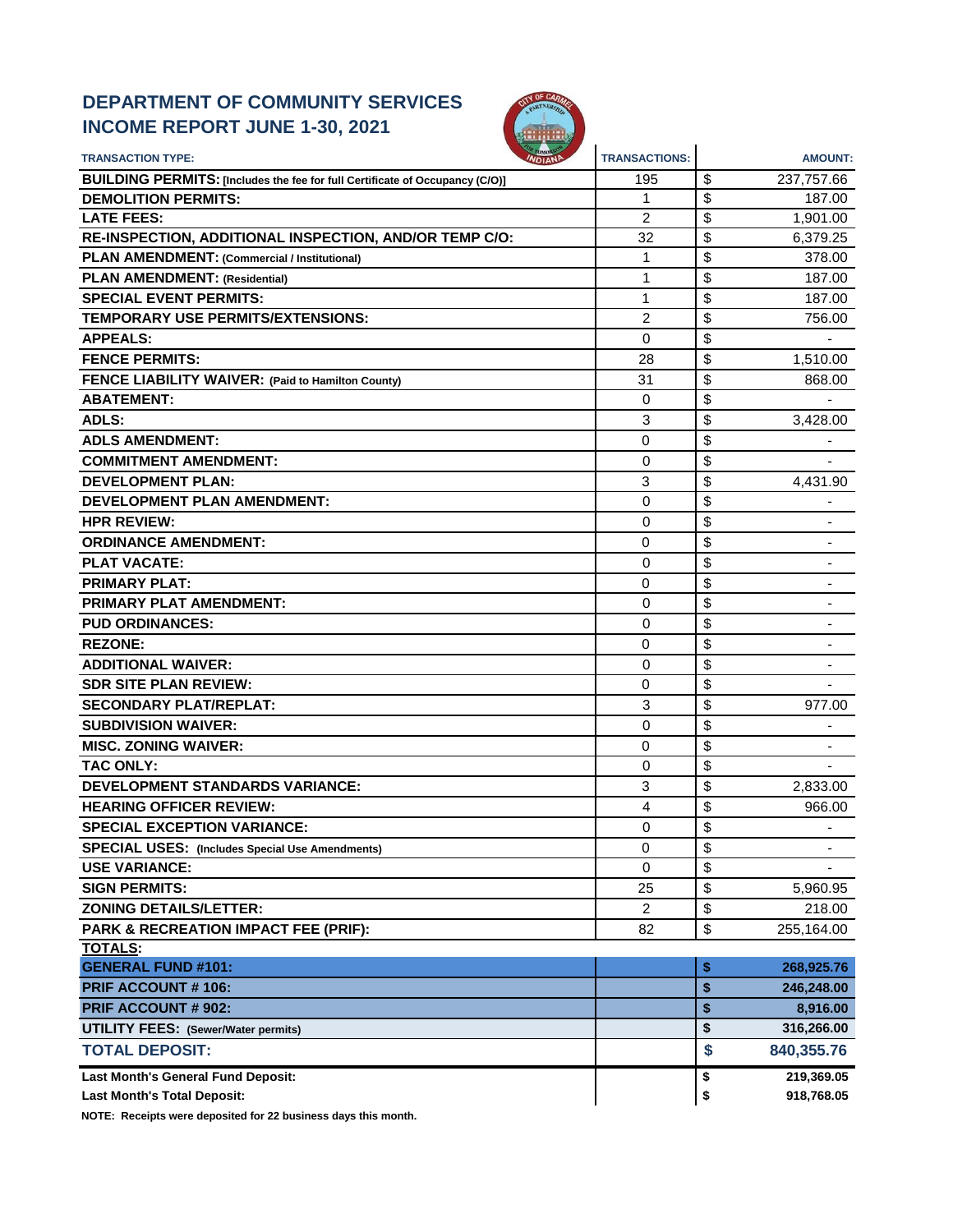### **DEPARTMENT OF COMMUNITY SERVICES INCOME REPORT JUNE 1-30, 2021**



| <b>TRANSACTION TYPE:</b>                                                     | <b>TRANSACTIONS:</b> | <b>AMOUNT:</b>                 |
|------------------------------------------------------------------------------|----------------------|--------------------------------|
| BUILDING PERMITS: [Includes the fee for full Certificate of Occupancy (C/O)] | 195                  | \$<br>237,757.66               |
| <b>DEMOLITION PERMITS:</b>                                                   | 1                    | \$<br>187.00                   |
| <b>LATE FEES:</b>                                                            | 2                    | \$<br>1,901.00                 |
| RE-INSPECTION, ADDITIONAL INSPECTION, AND/OR TEMP C/O:                       | 32                   | \$<br>6,379.25                 |
| PLAN AMENDMENT: (Commercial / Institutional)                                 | 1                    | \$<br>378.00                   |
| <b>PLAN AMENDMENT: (Residential)</b>                                         | 1                    | \$<br>187.00                   |
| <b>SPECIAL EVENT PERMITS:</b>                                                | 1                    | \$<br>187.00                   |
| <b>TEMPORARY USE PERMITS/EXTENSIONS:</b>                                     | $\overline{2}$       | \$<br>756.00                   |
| <b>APPEALS:</b>                                                              | 0                    | \$                             |
| <b>FENCE PERMITS:</b>                                                        | 28                   | \$<br>1,510.00                 |
| FENCE LIABILITY WAIVER: (Paid to Hamilton County)                            | 31                   | \$<br>868.00                   |
| <b>ABATEMENT:</b>                                                            | 0                    | \$                             |
| ADLS:                                                                        | 3                    | \$<br>3,428.00                 |
| <b>ADLS AMENDMENT:</b>                                                       | $\mathbf 0$          | \$                             |
| <b>COMMITMENT AMENDMENT:</b>                                                 | 0                    | \$                             |
| <b>DEVELOPMENT PLAN:</b>                                                     | 3                    | \$<br>4,431.90                 |
| <b>DEVELOPMENT PLAN AMENDMENT:</b>                                           | 0                    | \$                             |
| <b>HPR REVIEW:</b>                                                           | 0                    | \$                             |
| <b>ORDINANCE AMENDMENT:</b>                                                  | $\mathbf 0$          | \$                             |
| <b>PLAT VACATE:</b>                                                          | 0                    | \$                             |
| <b>PRIMARY PLAT:</b>                                                         | $\Omega$             | \$                             |
| <b>PRIMARY PLAT AMENDMENT:</b>                                               | 0                    | \$                             |
| <b>PUD ORDINANCES:</b>                                                       | 0                    | \$                             |
| <b>REZONE:</b>                                                               | $\mathbf 0$          | \$                             |
| <b>ADDITIONAL WAIVER:</b>                                                    | 0                    | \$                             |
| <b>SDR SITE PLAN REVIEW:</b>                                                 | 0                    | \$                             |
| <b>SECONDARY PLAT/REPLAT:</b>                                                | 3                    | \$<br>977.00                   |
| <b>SUBDIVISION WAIVER:</b>                                                   | $\Omega$             | \$                             |
| <b>MISC. ZONING WAIVER:</b>                                                  | 0                    | \$                             |
| <b>TAC ONLY:</b>                                                             | 0                    | \$                             |
| DEVELOPMENT STANDARDS VARIANCE:                                              | 3                    | \$<br>2,833.00                 |
| <b>HEARING OFFICER REVIEW:</b>                                               | 4                    | \$<br>966.00                   |
| <b>SPECIAL EXCEPTION VARIANCE:</b>                                           | 0                    | \$                             |
| <b>SPECIAL USES:</b> (Includes Special Use Amendments)                       | 0                    | \$<br>$\overline{\phantom{a}}$ |
| <b>USE VARIANCE:</b>                                                         | 0                    | \$                             |
| <b>SIGN PERMITS:</b>                                                         | 25                   | \$<br>5,960.95                 |
| <b>ZONING DETAILS/LETTER:</b>                                                | $\overline{2}$       | \$<br>218.00                   |
| PARK & RECREATION IMPACT FEE (PRIF):                                         | 82                   | \$<br>255,164.00               |
| <b>TOTALS:</b>                                                               |                      |                                |
| <b>GENERAL FUND #101:</b>                                                    |                      | \$<br>268,925.76               |
| PRIF ACCOUNT #106:                                                           |                      | \$<br>246,248.00               |
| <b>PRIF ACCOUNT # 902:</b>                                                   |                      | \$<br>8,916.00                 |
| <b>UTILITY FEES: (Sewer/Water permits)</b>                                   |                      | \$<br>316,266.00               |
| <b>TOTAL DEPOSIT:</b>                                                        |                      | \$<br>840,355.76               |
| Last Month's General Fund Deposit:                                           |                      | 219,369.05<br>\$               |
| <b>Last Month's Total Deposit:</b>                                           |                      | \$<br>918,768.05               |

**NOTE: Receipts were deposited for 22 business days this month.**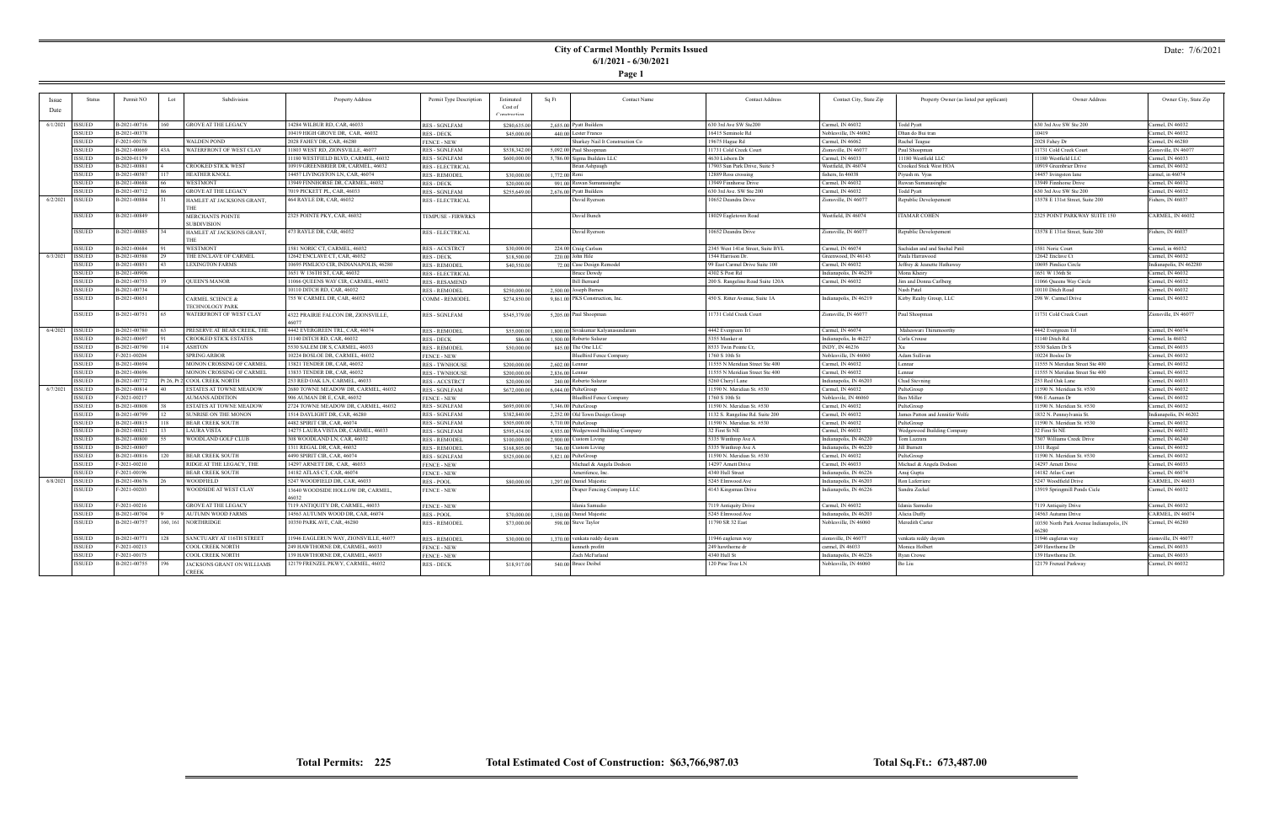**Page 1**

#### Date: 7/6/2021

| <b>Issue</b>      | <b>Status</b> | Permit NO    | Lot<br>Subdivision                | Property Address                          | Permit Type Description | Estimated    | Sq Ft           | <b>Contact Name</b>                 | <b>Contact Address</b>            | Contact City, State Zip | Property Owner (as listed per applicant) | Owner Address                            | Owner City, State Zip   |
|-------------------|---------------|--------------|-----------------------------------|-------------------------------------------|-------------------------|--------------|-----------------|-------------------------------------|-----------------------------------|-------------------------|------------------------------------------|------------------------------------------|-------------------------|
| Date              |               |              |                                   |                                           |                         | Cost of      |                 |                                     |                                   |                         |                                          |                                          |                         |
|                   |               |              |                                   |                                           |                         | Construction |                 |                                     |                                   |                         |                                          |                                          |                         |
| 6/1/2021 ISSUED   |               | B-2021-00716 | <b>GROVE AT THE LEGACY</b><br>160 | 14284 WILBUR RD, CAR, 46033               | <b>RES - SGNLFAM</b>    | \$280,635.00 |                 | 2,655,00 Pyatt Builders             | 630 3rd Ave SW Ste200             | Carmel, IN 46032        | Todd Pyatt                               | 630 3rd Ave SW Ste 200                   | Carmel, IN 46032        |
|                   | <b>ISSUED</b> | B-2021-00378 |                                   | 10419 HIGH GROVE DR, CAR, 46032           | <b>RES - DECK</b>       | \$45,000.00  |                 | 440.00 Lester Franco                | 16415 Seminole Rd                 | Noblesville, IN 46062   | Dhan do Bui tran                         | 10419                                    | Carmel, IN 46032        |
|                   | <b>ISSUED</b> | F-2021-00178 | WALDEN POND                       | 2028 FAHEY DR, CAR, 46280                 | <b>FENCE - NEW</b>      |              |                 | Sharkey Nail It Construction Co     | 19675 Hague Rd                    | Carmel, IN 46062        | Rachel Teague                            | 2028 Fahey Dr                            | Carmel, IN 46280        |
|                   | <b>ISSUED</b> | B-2021-00669 | WATERFRONT OF WEST CLAY<br>43A    | 1803 WEST RD, ZIONSVILLE, 46077           | <b>RES - SGNLFAM</b>    | \$538,342.00 |                 | 5,092.00 Paul Shoopman              | 11731 Cold Creek Court            | Zionsville, IN 46077    | Paul Shoopman                            | 11731 Cold Creek Court                   | Zionsville, IN 46077    |
|                   | <b>ISSUED</b> | B-2020-01179 |                                   | 1180 WESTFIELD BLVD, CARMEL, 46032        | <b>RES - SGNLFAM</b>    | \$600,000.00 |                 | 5,786.00 Sigma Builders LLC         | 4630 Lisborn Dr                   | Carmel, IN 46033        | 11180 Westfield LLC                      | 11180 Westfield LLC                      | Carmel, IN 46033        |
|                   | <b>ISSUED</b> | B-2021-00881 | CROOKED STICK WEST                | 10919 GREENBRIER DR, CARMEL, 46032        | <b>RES - ELECTRICAL</b> |              |                 | Brian Ashpaugh                      | 17903 Sun Park Drive, Suite 5     | Westfield, IN 46074     | Crooked Stick West HOA                   | 10919 Greenbrier Drive                   | Carmel, IN 46032        |
|                   | <b>ISSUED</b> | B-2021-00587 | <b>HEATHER KNOLL</b><br>117       | 14457 LIVINGSTON LN, CAR, 46074           | <b>RES - REMODEI</b>    | \$30,000.00  | 1,772.00 Roni   |                                     | 12889 Ross crossing               | fishers, In 46038       | Piyush m. Vyas                           | 14457 livingston lane                    | carmel, in 46074        |
|                   | <b>ISSUED</b> | B-2021-00688 | WESTMONT                          | 3949 FINNHORSE DR, CARMEL, 46032          | <b>RES - DECK</b>       | \$20,000.00  |                 | 991.00 Ruwan Sumanasinghe           | 13949 Finnhorse Drive             | Carmel, IN 46032        | Ruwan Sumanasinghe                       | 13949 Finnhorse Drive                    | Carmel, IN 46032        |
|                   | <b>ISSUED</b> | B-2021-00712 | <b>GROVE AT THE LEGACY</b>        | 7019 PICKETT PL, CAR, 46033               | <b>RES - SGNLFAM</b>    | \$255,649.00 |                 | 2,676,00 Pyatt Builders             | 630 3rd Ave. SW Ste 200           | Carmel, IN 46032        | <b>Todd Pyatt</b>                        | 630 3rd Ave SW Ste 200                   | Carmel, IN 46032        |
| 6/2/2021   ISSUED |               | B-2021-00884 | HAMLET AT JACKSONS GRANT,         | 464 RAYLE DR, CAR, 46032                  | <b>RES - ELECTRICAL</b> |              |                 | David Ryerson                       | 10652 Deandra Drive               | Zionsville, IN 46077    | Republic Developement                    | 13578 E 131st Street, Suite 200          | Fishers, IN 46037       |
|                   |               |              |                                   |                                           |                         |              |                 |                                     |                                   |                         |                                          |                                          |                         |
|                   | <b>ISSUED</b> | B-2021-00849 | MERCHANTS POINTE                  | 2325 POINTE PKY, CAR, 46032               | TEMPUSE - FIRWRKS       |              |                 | David Bunch                         | 18029 Eagletown Road              | Westfield, IN 46074     | <b>ITAMAR COHEN</b>                      | 2325 POINT PARKWAY SUITE 150             | CARMEL, IN 46032        |
|                   |               |              | <b>SUBDIVISION</b>                |                                           |                         |              |                 |                                     |                                   |                         |                                          |                                          |                         |
|                   | <b>ISSUED</b> | B-2021-00885 | HAMLET AT JACKSONS GRANT,         | 473 RAYLE DR, CAR, 46032                  | <b>RES - ELECTRICAL</b> |              |                 | David Ryerson                       | 10652 Deandra Drive               | Zionsville, IN 46077    | Republic Developement                    | 13578 E 131st Street, Suite 200          | Fishers, IN 46037       |
|                   |               |              |                                   |                                           |                         |              |                 |                                     |                                   |                         |                                          |                                          |                         |
|                   | <b>ISSUED</b> | B-2021-00684 | <b>WESTMONT</b>                   | 1581 NORIC CT, CARMEL, 46032              | <b>RES - ACCSTRCT</b>   | \$30,000,00  |                 | 224.00 Craig Carlson                | 2345 West 141st Street, Suite BYL | Carmel, IN 46074        | Sachidan and and Snehal Patil            | 1581 Noric Court                         | Carmel, in 46032        |
| 6/3/2021 ISSUED   |               | B-2021-00588 | THE ENCLAVE OF CARMEL             | 12642 ENCLAVE CT, CAR, 46032              | <b>RES - DECK</b>       | \$18,500.00  |                 | 220.00 John Hile                    | 1544 Harrison Dr.                 | Greenwood, IN 46143     | Paula Harrawood                          | 12642 Enclave Ct                         | Carmel, IN 46032        |
|                   | <b>ISSUED</b> | B-2021-00851 | <b>LEXINGTON FARMS</b>            | 10695 PIMLICO CIR, INDIANAPOLIS, 46280    | <b>RES - REMODEL</b>    | \$40,550.00  |                 | 72.00 Case Design Remodel           | 99 East Carmel Drive Suite 100    | Carmel, IN 46032        | Jeffrey & Jeanette Hathaway              | 10695 Pimlico Circle                     | Indianapolis, IN 462280 |
|                   | <b>ISSUED</b> | B-2021-00906 |                                   | 1651 W 136TH ST, CAR, 46032               | <b>RES - ELECTRICAL</b> |              |                 | <b>Bruce Dowdy</b>                  | 4302 S Post Rd                    | Indianapolis, IN 46239  | Mona Kheiry                              | 1651 W 136th St                          | Carmel, IN 46032        |
|                   | <b>ISSUED</b> | B-2021-00753 | <b>QUEEN'S MANOR</b>              | 1066 QUEENS WAY CIR, CARMEL, 46032        | <b>RES - RESAMEND</b>   |              |                 | <b>Bill Bernard</b>                 | 200 S. Rangeline Road Suite 120A  | Carmel, IN 46032        | Jim and Donna Carlberg                   | 11066 Queens Way Circle                  | Carmel, IN 46032        |
|                   | <b>ISSUED</b> | B-2021-00734 |                                   | 10110 DITCH RD, CAR, 46032                | <b>RES - REMODEL</b>    | \$250,000.00 |                 | 2,500.00 Joseph Barnes              |                                   |                         | Nash Patel                               | 10110 Ditch Road                         | Carmel, IN 46032        |
|                   | <b>ISSUED</b> | B-2021-00651 | CARMEL SCIENCE &                  | 755 W CARMEL DR, CAR, 46032               | <b>COMM - REMODEL</b>   | \$274,850.00 |                 | 9,861.00 PKS Construction, Inc.     | 450 S. Ritter Avenue, Suite 1A    | Indianapolis, IN 46219  | Kirby Realty Group, LLC                  | 298 W. Carmel Drive                      | Carmel, IN 46032        |
|                   |               |              | <b><i>TECHNOLOGY PARK</i></b>     |                                           |                         |              |                 |                                     |                                   |                         |                                          |                                          |                         |
|                   | <b>ISSUED</b> | B-2021-00751 | WATERFRONT OF WEST CLAY           | 4322 PRAIRIE FALCON DR, ZIONSVILLE,       | RES - SGNLFAM           | \$545,379.00 |                 | 5,205.00 Paul Shoopman              | 11731 Cold Creek Court            | Zionsville, IN 46077    | Paul Shoopman                            | 11731 Cold Creek Court                   | Zionsville, IN 46077    |
|                   |               |              |                                   |                                           |                         |              |                 |                                     |                                   |                         |                                          |                                          |                         |
| 6/4/2021 ISSUED   |               | B-2021-00780 | PRESERVE AT BEAR CREEK, THE       | 4442 EVERGREEN TRL, CAR, 46074            | <b>RES - REMODEL</b>    | \$55,000.00  |                 | 1,800,00 Sivakumar Kalyanasundaram  | 4442 Evergreen Trl                | Carmel, IN 46074        | Maheswari Thirumoorthy                   | 4442 Evergreen Trl                       | Carmel, IN 46074        |
|                   | <b>ISSUED</b> | B-2021-00697 | <b>CROOKED STICK ESTATES</b>      | 1140 DITCH RD, CAR, 46032                 | <b>RES - DECK</b>       | \$86.00      |                 | 1.500.00 Roberto Salazar            | 5355 Manker st                    | Indianapolis, In 46227  | Carla Crouse                             | 11140 Ditch Rd.                          | Carmel, In 46032        |
|                   | <b>ISSUED</b> | B-2021-00790 | 114<br><b>ASHTON</b>              | 5530 SALEM DR S, CARMEL, 46033            | <b>RES - REMODEL</b>    | \$50,000.00  |                 | 845,00 The One LLC                  | 8533 Twin Pointe Cr               | INDY, IN 46236          | Xu                                       | 5530 Salem Dr S                          | Carmel, IN 46033        |
|                   | <b>ISSUED</b> | F-2021-00204 | <b>SPRING ARBOR</b>               | 10224 BOSLOE DR, CARMEL, 46032            | <b>FENCE - NEW</b>      |              |                 | <b>BlueBird Fence Company</b>       | 1760 S 10th St                    | Noblesville, IN 46060   | Adam Sullivan                            | 10224 Bosloe Dr                          | Carmel, IN 46032        |
|                   | <b>ISSUED</b> | B-2021-00694 | MONON CROSSING OF CARMEL          | 13821 TENDER DR. CAR. 46032               | <b>RES - TWNHOUSE</b>   | \$200,000.00 | 2,602.00 Lennar |                                     | 11555 N Meridian Street Ste 400   | Carmel, IN 46032        | Lennar                                   | 11555 N Meridian Street Ste 400          | Carmel, IN 46032        |
|                   | <b>ISSUED</b> | B-2021-00696 | MONON CROSSING OF CARMEL          | 13833 TENDER DR, CAR, 46032               | <b>RES - TWNHOUSE</b>   | \$200,000.00 | 2,836.00 Lennar |                                     | 11555 N Meridian Street Ste 400   | Carmel, IN 46032        | Lennar.                                  | 11555 N Meridian Street Ste 400          | Carmel, IN 46032        |
|                   | <b>ISSUED</b> | B-2021-00772 | Pt 26, Pt 2 COOL CREEK NORTH      | 253 RED OAK LN, CARMEL, 46033             | <b>RES - ACCSTRCT</b>   | \$20,000.00  |                 | 240.00 Roberto Salazar              | 5260 Cheryl Lane                  | Indianapolis, IN 46203  | Chad Stevning                            | 253 Red Oak Lane                         | Carmel, IN 46033        |
| 6/7/2021 ISSUED   |               | B-2021-00814 | ESTATES AT TOWNE MEADOW           | 2680 TOWNE MEADOW DR, CARMEL, 46032       | <b>RES - SGNLFAM</b>    | \$672,000.00 |                 | 6,044.00 PulteGroup                 | 11590 N. Meridian St. #530        | Carmel, IN 46032        | PulteGroup                               | 1590 N. Meridian St. #530                | Carmel, IN 46032        |
|                   | <b>ISSUED</b> | F-2021-00217 | <b>AUMANS ADDITION</b>            | 906 AUMAN DR E, CAR, 46032                | <b>FENCE - NEW</b>      |              |                 | <b>BlueBird Fence Company</b>       | 1760 S 10th St                    | Noblesvile, IN 46060    | <b>Ben Miller</b>                        | 906 E Auman Dr                           | Carmel, IN 46032        |
|                   | <b>ISSUED</b> | B-2021-00808 | <b>ESTATES AT TOWNE MEADOW</b>    | 2724 TOWNE MEADOW DR, CARMEL, 46032       | <b>RES - SGNLFAM</b>    | \$695,000.00 |                 | 7,346.00 PulteGroup                 | 11590 N. Meridian St. #530        | Carmel, IN 46032        | PulteGroup                               | 11590 N. Meridian St. #530               | Carmel, IN 46032        |
|                   | <b>ISSUED</b> | B-2021-00799 | SUNRISE ON THE MONON              | 514 DAYLIGHT DR, CAR, 46280               | <b>RES - SGNLFAM</b>    | \$382,840.00 |                 | 2,252.00 Old Town Design Group      | 1132 S. Rangeline Rd. Suite 200   | Carmel, IN 46032        | James Patton and Jennifer Wolfe          | 1832 N. Pennsylvania St                  | Indianapolis, IN 46202  |
|                   | <b>ISSUED</b> | B-2021-00815 | <b>BEAR CREEK SOUTH</b><br>118    | 4482 SPIRIT CIR, CAR, 46074               | <b>RES-SGNLFAM</b>      | \$505,000.00 |                 | 5.710.00 PulteGroup                 | 11590 N. Meridian St. #530        | Carmel, IN 46032        | PulteGroup                               | 11590 N. Meridian St. #530               | Carmel, IN 46032        |
|                   | <b>ISSUED</b> | B-2021-00821 | LAURA VISTA                       | 14275 LAURA VISTA DR, CARMEL, 46033       | <b>RES - SGNLFAM</b>    | \$595,434.00 |                 | 4,935.00 Wedgewood Building Company | 32 First St NE                    | Carmel, IN 46032        | Wedgewood Building Company               | 32 First St NE                           | Carmel, IN 46032        |
|                   | <b>ISSUED</b> | B-2021-00800 | WOODLAND GOLF CLUB                | 308 WOODLAND LN, CAR, 46032               | <b>RES - REMODEL</b>    | \$100,000.00 |                 | 2,900.00 Custom Living              | 5335 Winthrop Ave A               | Indianapolis, IN 46220  | Tom Lazzara                              | 7307 Williams Creek Drive                | Carmel, IN 46240        |
|                   | <b>ISSUED</b> | B-2021-00807 |                                   | 1311 REGAL DR, CAR, 46032                 | <b>RES - REMODEL</b>    | \$168,805.00 |                 | 746.00 Custom Living                | 5335 Winthrop Ave A               | Indianapolis, IN 46220  | Jill Burnett                             | 1311 Regal                               | Carmel, IN 46032        |
|                   | <b>ISSUED</b> | B-2021-00816 | <b>BEAR CREEK SOUTH</b><br>120    | 4490 SPIRIT CIR, CAR, 46074               | <b>RES - SGNLFAM</b>    | \$525,000.00 |                 | 5,821.00 PulteGroup                 | 11590 N. Meridian St. #530        | Carmel, IN 46032        | PulteGroup                               | 11590 N. Meridian St. #530               | Carmel, IN 46032        |
|                   | <b>ISSUED</b> | F-2021-00210 | RIDGE AT THE LEGACY, THE          | 14297 ARNETT DR. CAR, 46033               | <b>FENCE - NEW</b>      |              |                 | Michael & Angela Dodson             | 14297 Arnett Drive                | Carmel, IN 46033        | Michael & Angela Dodson                  | 14297 Arnett Drive                       | Carmel, IN 46033        |
|                   | <b>ISSUED</b> | F-2021-00196 | <b>BEAR CREEK SOUTH</b>           | 14182 ATLAS CT, CAR, 46074                | <b>FENCE - NEW</b>      |              |                 | Amerifence, Inc                     | 4340 Hull Street                  | Indianapolis, IN 46226  | Anuj Gupta                               | 14182 Atlas Court                        | Carmel, IN 46074        |
| 6/8/2021          | <b>ISSUED</b> | B-2021-00676 | WOODFIELD                         | 5247 WOODFIELD DR, CAR, 46033             | <b>RES-POOL</b>         | \$80,000.00  |                 | 1.297.00 Daniel Majestic            | 5245 Elmwood Ave                  | Indianapolis, IN 46203  | Ron Laferriere                           | 5247 Woodfield Drive                     | CARMEL, IN 46033        |
|                   | <b>ISSUED</b> | F-2021-00203 | WOODSIDE AT WEST CLAY             | 3640 WOODSIDE HOLLOW DR, CARMEL,<br>46032 | <b>FENCE - NEW</b>      |              |                 | Draper Fencing Company LLC          | 4143 Kingsman Drive               | Indianapolis, IN 46226  | Sandra Zeckel                            | 13919 Springmill Ponds Cicle             | Carmel, IN 46032        |
|                   | <b>ISSUED</b> | F-2021-00216 | <b>GROVE AT THE LEGACY</b>        | 7119 ANTIQUITY DR, CARMEL, 46033          | <b>FENCE - NEW</b>      |              |                 | Idania Samudio                      | 7119 Antiquity Drive              | Carmel, IN 46032        | Idania Samudio                           | 7119 Antiquity Drive                     | Carmel, IN 46032        |
|                   | <b>ISSUED</b> | B-2021-00704 | AUTUMN WOOD FARMS                 | 14563 AUTUMN WOOD DR, CAR, 46074          | <b>RES-POOL</b>         | \$70,000,00  |                 | 1.150.00 Daniel Majestic            | 5245 Elmwood Ave                  | Indianapolis, IN 46203  | Alicia Duffy                             | 14563 Autumn Drive                       | CARMEL, IN 46074        |
|                   | <b>ISSUED</b> | B-2021-00757 | 160, 161   NORTHRIDGE             | 10350 PARK AVE, CAR, 46280                | <b>RES - REMODEL</b>    | \$73,000.00  |                 | 598.00 Steve Taylor                 | 11790 SR 32 East                  | Noblesville, IN 46060   | Meredith Carter                          | 10350 North Park Avenue Indianapolis, IN | Carmel, IN 46280        |
|                   |               |              |                                   |                                           |                         |              |                 |                                     |                                   |                         |                                          | 46280                                    |                         |
|                   | <b>ISSUED</b> | B-2021-00771 | SANCTUARY AT 116TH STREET<br>128  | 11946 EAGLERUN WAY, ZIONSVILLE, 4607      | <b>RES - REMODEI</b>    | \$30,000.00  |                 | 1.370.00 venkata reddy dayam        | 11946 eaglerun way                | zionsville, IN 46077    | venkata reddy dayam                      | 11946 eaglerun way                       | zionsville, IN 46077    |
|                   | <b>ISSUED</b> | F-2021-00213 | COOL CREEK NORTH                  | 249 HAWTHORNE DR, CARMEL, 46033           | <b>FENCE - NEW</b>      |              |                 | kenneth profitt                     | 249 hawthorne dr                  | carmel, IN 46033        | Monica Holber                            | 249 Hawthorne Dr                         | Carmel, IN 46033        |
|                   | <b>ISSUED</b> | F-2021-00175 | COOL CREEK NORTH                  | 39 HAWTHORNE DR, CARMEL, 46033            | <b>FENCE - NEW</b>      |              |                 | Zach McFarland                      | 4340 Hull St                      | Indianapolis, IN 46226  | Ryan Crowe                               | 39 Hawthorne Dr.                         | Carmel, IN 46033        |
|                   | <b>ISSUED</b> | B-2021-00755 | JACKSONS GRANT ON WILLIAMS        | 12179 FRENZEL PKWY, CARMEL, 46032         | <b>RES - DECK</b>       | \$18,917.00  |                 | 540.00 Bruce Deibel                 | 120 Pine Tree LN                  | Noblesville, IN 46060   | Bo Liu                                   | 12179 Frenzel Parkway                    | Carmel, IN 46032        |
|                   |               |              | CREEK                             |                                           |                         |              |                 |                                     |                                   |                         |                                          |                                          |                         |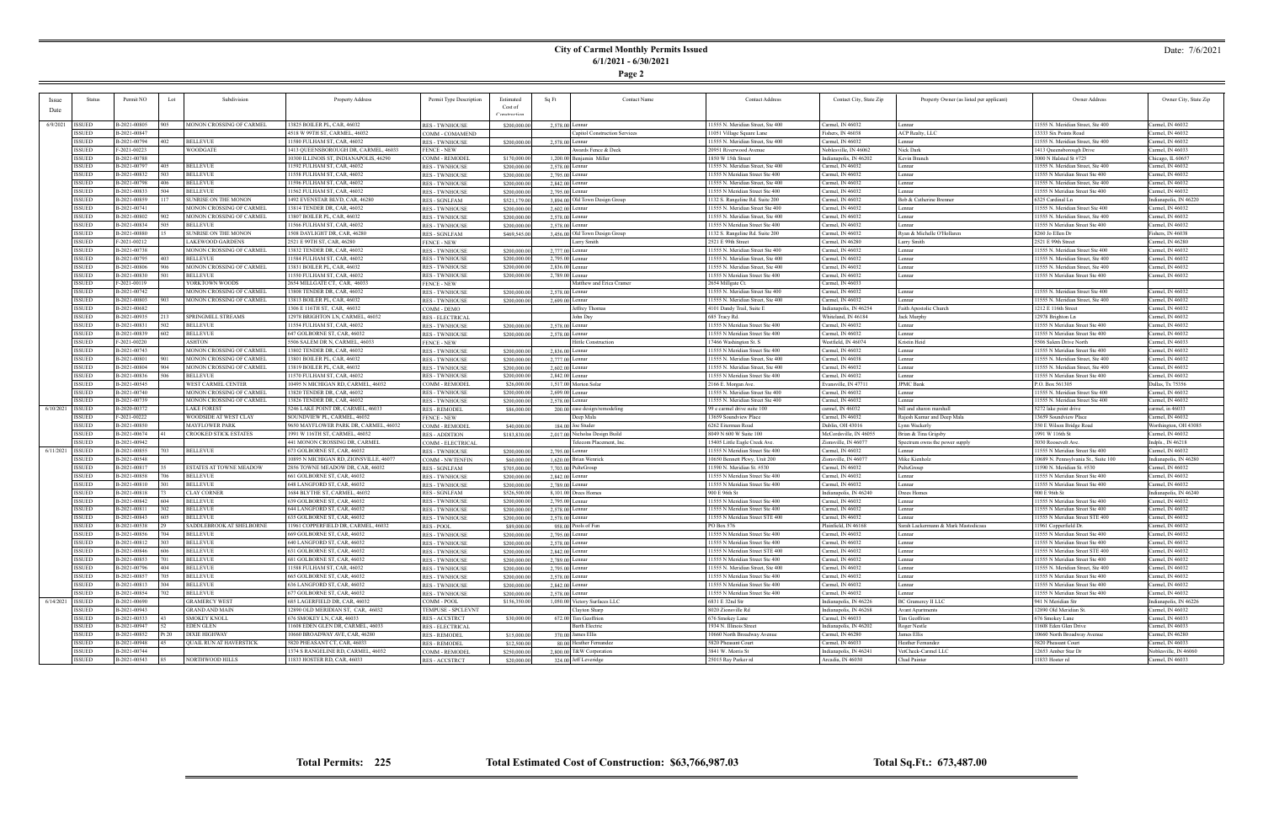**Page 2**

#### Date: 7/6/2021

|                    | Status        | Permit NO    | Lot   | Subdivision                    | Property Address                       | Permit Type Description | Estimated    | Sq Ft<br><b>Contact Name</b>   | <b>Contact Address</b>            | Contact City, State Zip | Property Owner (as listed per applicant) | Owner Address                        | Owner City, State Zip  |
|--------------------|---------------|--------------|-------|--------------------------------|----------------------------------------|-------------------------|--------------|--------------------------------|-----------------------------------|-------------------------|------------------------------------------|--------------------------------------|------------------------|
|                    |               |              |       |                                |                                        |                         | Cost of      |                                |                                   |                         |                                          |                                      |                        |
| Date               |               |              |       |                                |                                        |                         | Construction |                                |                                   |                         |                                          |                                      |                        |
|                    |               |              |       |                                |                                        |                         |              |                                |                                   |                         |                                          |                                      |                        |
| 6/9/2021           | <b>ISSUED</b> | B-2021-00805 | 905   | MONON CROSSING OF CARMEL       | 13825 BOILER PL, CAR, 46032            | <b>RES - TWNHOUSE</b>   | \$200,000.00 | 2,578.00 Lennar                | 11555 N. Meridian Street, Ste 400 | Carmel, IN 46032        | Lennar                                   | 11555 N. Meridian Street, Ste 400    | Carmel, IN 46032       |
|                    | ISSUED        | B-2021-00847 |       |                                | 4518 W 99TH ST, CARMEL, 46032          | COMM - COMAMEND         |              | Capitol Construction Services  | 11051 Village Square Lane         | Fishers, IN 46038       | ACP Realty, LLC                          | 13333 Six Points Road                | Carmel, IN 46032       |
|                    | <b>ISSUED</b> | B-2021-00794 | 402   | <b>BELLEVUE</b>                | 11580 FULHAM ST, CAR, 46032            | <b>RES - TWNHOUSE</b>   | \$200,000.00 | 2,578.00 Lennar                | 11555 N. Meridian Street, Ste 400 | Carmel, IN 46032        | Lennar                                   | 11555 N. Meridian Street, Ste 400    | Carmel, IN 46032       |
|                    | ISSUED        | F-2021-00223 |       | <b>WOODGATE</b>                | 1413 QUEENSBOROUGH DR, CARMEL, 46033   | <b>FENCE - NEW</b>      |              | Awards Fence & Deck            | 20951 Riverwood Avenue            | Noblesville, IN 46062   | Nick Dark                                | 1413 Queensborough Drive             | Carmel, IN 46033       |
|                    | <b>ISSUED</b> | B-2021-00788 |       |                                | 10300 ILLINOIS ST, INDIANAPOLIS, 46290 | COMM - REMODEI          | \$170,000.00 | 1,200.00 Benjamin Miller       | 1850 W 15th Street                | Indianapolis, IN 46202  | Kevin Branch                             | 3000 N Halsted St #725               | Chicago, IL 60657      |
|                    | <b>ISSUED</b> | B-2021-00797 | 405   | <b>BELLEVUE</b>                | 11592 FULHAM ST, CAR, 46032            | <b>RES - TWNHOUSE</b>   | \$200,000.0  | 2,578.00 Lennar                | 11555 N. Meridian Street, Ste 400 | Carmel, IN 46032        | Lennar                                   | 11555 N. Meridian Street, Ste 400    | Carmel, IN 46032       |
|                    | <b>ISSUED</b> | B-2021-00832 | 503   | <b>BELLEVUE</b>                | 11558 FULHAM ST, CAR, 46032            | <b>RES - TWNHOUSE</b>   | \$200,000.0  | 2,795.00 Lennar                | 11555 N Meridian Street Ste 400   | Carmel, IN 46032        | Lennar                                   | 11555 N Meridian Street Ste 400      | Carmel, IN 46032       |
|                    | <b>ISSUED</b> | B-2021-00798 | 406   | <b>BELLEVUE</b>                | 11596 FULHAM ST, CAR, 46032            | <b>RES - TWNHOUSE</b>   | \$200,000.00 | 2,842.00 Lennar                | 11555 N. Meridian Street, Ste 400 | Carmel, IN 46032        | Lennar                                   | 11555 N. Meridian Street, Ste 400    | Carmel, IN 46032       |
|                    | <b>ISSUED</b> | B-2021-00833 |       | <b>BELLEVUE</b>                | 11562 FULHAM ST, CAR, 46032            | <b>RES - TWNHOUSE</b>   | \$200,000.0  | 2,795.00 Lennar                | 11555 N Meridian Street Ste 400   | Carmel, IN 46032        | Lennar                                   | 11555 N Meridian Street Ste 400      | Carmel, IN 46032       |
|                    | <b>ISSUED</b> | B-2021-00859 |       | SUNRISE ON THE MONON           | 1492 EVENSTAR BLVD, CAR, 46280         | <b>RES - SGNLFAM</b>    | \$521,179.00 | 3,894.00 Old Town Design Group | 1132 S. Rangeline Rd. Suite 200   | Carmel, IN 46032        | Bob & Catherine Brenner                  | 6325 Cardinal Ln                     | Indianapolis, IN 46220 |
|                    | <b>ISSUED</b> | B-2021-00741 |       | MONON CROSSING OF CARMEL       | 13814 TENDER DR, CAR, 46032            | <b>RES - TWNHOUSE</b>   |              | $2,602.00$ Lennar              | 11555 N. Meridian Street Ste 400  | Carmel, IN 46032        | Lennar                                   | 11555 N. Meridian Street Ste 400     | Carmel, IN 46032       |
|                    |               |              | 902.  |                                |                                        |                         | \$200,000.00 |                                |                                   |                         |                                          |                                      |                        |
|                    | <b>ISSUED</b> | B-2021-00802 |       | MONON CROSSING OF CARMEL       | 13807 BOILER PL, CAR, 46032            | <b>RES - TWNHOUSE</b>   | \$200,000.0  | 2,578.00 Lennar                | 11555 N. Meridian Street, Ste 400 | Carmel, IN 46032        | Lennar                                   | 11555 N. Meridian Street, Ste 400    | Carmel, IN 46032       |
|                    | <b>ISSUED</b> | B-2021-00834 | 505.  | <b>BELLEVUE</b>                | 11566 FULHAM ST, CAR, 46032            | <b>RES - TWNHOUSE</b>   | \$200,000.0  | 2.578.00 Lennar                | 11555 N Meridian Street Ste 400   | Carmel, IN 46032        | Lennar                                   | 11555 N Meridian Street Ste 400      | Carmel, IN 46032       |
|                    | <b>ISSUED</b> | B-2021-00880 |       | SUNRISE ON THE MONON           | 1508 DAYLIGHT DR, CAR, 46280           | <b>RES - SGNLFAM</b>    | \$469,545.00 | 3,456.00 Old Town Design Group | 1132 S. Rangeline Rd. Suite 200   | Carmel, IN 46032        | Ryan & Michelle O'Hollaren               | 8260 Jo Ellen Dr                     | Fishers, IN 46038      |
|                    | <b>ISSUED</b> | F-2021-00212 |       | LAKEWOOD GARDENS               | 2521 E 99TH ST, CAR, 46280             | <b>FENCE - NEW</b>      |              | Larry Smith                    | 2521 E 99th Street                | Carmel, IN 46280        | Larry Smith                              | 2521 E 99th Street                   | Carmel, IN 46280       |
|                    | <b>ISSUED</b> | B-2021-00738 |       | MONON CROSSING OF CARMEL       | 13832 TENDER DR, CAR, 46032            | <b>RES - TWNHOUSE</b>   | \$200,000.0  | 2,777.00 Lennar                | 11555 N. Meridian Street Ste 400  | Carmel, IN 46032        | Lennar                                   | 11555 N. Meridian Street Ste 400     | Carmel, IN 46032       |
|                    | <b>ISSUED</b> | B-2021-00795 |       | <b>BELLEVUE</b>                | 11584 FULHAM ST, CAR, 46032            | <b>RES-TWNHOUSE</b>     | \$200,000.0  | 2,795.00 Lennar                | 11555 N. Meridian Street, Ste 400 | Carmel, IN 46032        | Lennar                                   | 11555 N. Meridian Street, Ste 400    | Carmel, IN 46032       |
|                    | <b>ISSUED</b> | B-2021-00806 |       | MONON CROSSING OF CARMEL       | 13831 BOILER PL, CAR, 46032            | <b>RES - TWNHOUSE</b>   | \$200,000.00 | 2,836.00 Lennar                | 1555 N. Meridian Street, Ste 400  | Carmel, IN 46032        | Lennar                                   | 11555 N. Meridian Street, Ste 400    | Carmel, IN 46032       |
|                    | ISSUED        | B-2021-00830 |       | BELLEVUE                       | 11550 FULHAM ST, CAR, 46032            | <b>RES - TWNHOUSE</b>   | \$200,000.0  | 2,789.00 Lennar                | 11555 N Meridian Street Ste 400   | Carmel, IN 46032        | Lennar                                   | 11555 N Meridian Street Ste 400      | Carmel, IN 46032       |
|                    | <b>ISSUED</b> | F-2021-00119 |       | YORKTOWN WOODS                 | 2654 MILLGATE CT, CAR, 46033           | <b>FENCE - NEW</b>      |              | Matthew and Erica Cramer       | 2654 Millgate Ct.                 | Carmel, IN 46033        |                                          |                                      |                        |
|                    | ISSUED        | B-2021-00742 |       | MONON CROSSING OF CARMEL       | 13808 TENDER DR, CAR, 46032            | <b>RES - TWNHOUSE</b>   | \$200,000.00 | 2,578.00 Lennar                | 11555 N. Meridian Street Ste 400  | Carmel, IN 46032        | Lennar                                   | 11555 N. Meridian Street Ste 400     | Carmel, IN 46032       |
|                    | <b>ISSUED</b> | B-2021-00803 | 903.  | MONON CROSSING OF CARMEL       | 13813 BOILER PL, CAR, 46032            | <b>RES - TWNHOUSE</b>   | \$200,000.00 | 2,699.00 Lennar                | 11555 N. Meridian Street, Ste 400 | Carmel, IN 46032        | Lennar                                   | 11555 N. Meridian Street, Ste 400    | Carmel, IN 46032       |
|                    | <b>ISSUED</b> | B-2021-00682 |       |                                | 1306 E 116TH ST, CAR, 46032            | COMM - DEMO             |              | Jeffrey Thomas                 | 4101 Dandy Trail, Suite E         | Indianapolis, IN 46254  | Faith Apostolic Church                   | 1212 E 116th Street                  | Carmel, IN 46032       |
|                    | ISSUED        | B-2021-00935 |       | SPRINGMILL STREAMS             | 12978 BRIGHTON LN, CARMEL, 46032       | <b>RES - ELECTRICAL</b> |              | John Day                       | 685 Tracy Rd.                     | Whiteland, IN 46184     | Jack Murphy                              | 12978 Brighton Ln                    | Carmel, IN 46032       |
|                    | <b>ISSUED</b> | B-2021-00831 | 502   | BELLEVUE                       | 11554 FULHAM ST, CAR, 46032            | <b>RES-TWNHOUSE</b>     | \$200,000.00 | 2,578.00 Lennar                | 1555 N Meridian Street Ste 400    | Carmel, IN 46032        | Lennar                                   | 11555 N Meridian Street Ste 400      | Carmel, IN 46032       |
|                    | <b>ISSUED</b> | B-2021-00839 | 602   | <b>BELLEVUE</b>                | 647 GOLBORNE ST, CAR, 46032            |                         |              |                                | 11555 N Meridian Street Ste 400   |                         | Lennar                                   | 11555 N Meridian Street Ste 400      | Carmel, IN 46032       |
|                    |               |              |       |                                |                                        | <b>RES - TWNHOUSE</b>   | \$200,000.0  | 2,578.00 Lennar                |                                   | Carmel, IN 46032        |                                          |                                      |                        |
|                    | <b>ISSUED</b> | F-2021-00220 |       | <b>ASHTON</b>                  | 5506 SALEM DR N, CARMEL, 4603.         | <b>FENCE - NEW</b>      |              | Hittle Construction            | 17466 Washington St. S            | Westfield, IN 4607      | Kristin Heid                             | 5506 Salem Drive North               | Carmel, IN 46033       |
|                    | <b>ISSUED</b> | B-2021-00743 |       | MONON CROSSING OF CARMEL       | 13802 TENDER DR, CAR, 46032            | <b>RES - TWNHOUSE</b>   | \$200,000.00 | 2,836.00 Lennar                | 11555 N Meridian Street Ste 400   | Carmel, IN 46032        | Lennar                                   | 11555 N Meridian Street Ste 400      | Carmel, IN 46032       |
|                    | <b>ISSUED</b> | B-2021-00801 |       | MONON CROSSING OF CARMEL       | 13801 BOILER PL, CAR, 46032            | <b>RES - TWNHOUSE</b>   | \$200,000.0  | 2,777.00 Lennar                | 11555 N. Meridian Street, Ste 400 | Carmel, IN 46038        | Lennar                                   | 11555 N. Meridian Street, Ste 400    | Carmel, IN 46032       |
|                    | <b>ISSUED</b> | B-2021-00804 |       | MONON CROSSING OF CARMEL       | 13819 BOILER PL, CAR, 46032            | <b>RES - TWNHOUSE</b>   | \$200,000.00 | 2,602.00 Lennar                | 11555 N. Meridian Street, Ste 400 | Carmel, IN 46032        | Lennar                                   | 11555 N. Meridian Street, Ste 400    | Carmel, IN 46032       |
|                    | <b>ISSUED</b> | B-2021-00836 | 506   | BELLEVUE                       | 11570 FULHAM ST, CAR, 46032            | <b>RES-TWNHOUSE</b>     | \$200,000.00 | 2,842.00 Lennar                | 11555 N Meridian Street Ste 400   | Carmel, IN 46032        | Lennar                                   | 11555 N Meridian Street Ste 400      | Carmel, IN 46032       |
|                    | <b>ISSUED</b> | B-2021-00545 |       | WEST CARMEL CENTER             | 10495 N MICHIGAN RD, CARMEL, 46032     | <b>COMM - REMODE!</b>   | \$26,000.0   | 1.517.00 Morton Solar          | 2166 E. Morgan Ave.               | Evansville, IN 4771     | <b>JPMC</b> Bank                         | P.O. Box 561305                      | Dallas, Tx 75356       |
|                    | <b>ISSUED</b> | B-2021-00740 |       | MONON CROSSING OF CARMEL       | 13820 TENDER DR, CAR, 46032            | <b>RES - TWNHOUSE</b>   | \$200,000.00 | $2,699,00$ Lennar              | 11555 N. Meridian Street Ste 400  | Carmel, IN 46032        | Lennar                                   | 11555 N. Meridian Street Ste 400     | Carmel, IN 46032       |
|                    | <b>ISSUED</b> | B-2021-00739 |       | MONON CROSSING OF CARMEL       | 13826 TENDER DR, CAR, 46032            | <b>RES - TWNHOUSE</b>   | \$200,000.0  | 2,578.00 Lennar                | 11555 N. Meridian Street Ste 400  | Carmel, IN 46032        | Lennar                                   | 11555 N. Meridian Street Ste 400     | Carmel, IN 46032       |
| $6/10/2021$ SSUED  |               | B-2020-00372 |       | LAKE FOREST                    | 5246 LAKE POINT DR, CARMEL, 46033      | <b>RES - REMODEL</b>    | \$86,000.00  | 200.00 case design/remodeling  | 99 e carmel drive suite 100       | carmel, IN 46032        | bill and sharon marshall                 | 5272 lake point drive                | carmel, in 46033       |
|                    | <b>ISSUED</b> | F-2021-00222 |       | WOODSIDE AT WEST CLAY          | SOUNDVIEW PL, CARMEL, 46032            | <b>FENCE - NEW</b>      |              | Deep Mala                      | 13659 Soundview Place             | Carmel, IN 46032        | Rajesh Kumar and Deep Mala               | 13659 Soundview Place                | Carmel, IN 46032       |
|                    | <b>ISSUED</b> | B-2021-00850 |       | <b>MAYFLOWER PARK</b>          | 9650 MAYFLOWER PARK DR, CARMEL, 46032  | COMM - REMODEI          | \$40,000.00  | 184.00 Joe Studer              | 6262 Eiterman Road                | Dublin, OH 43016        | Lynn Wackerly                            | 350 E Wilson Bridge Road             | Worthington, OH 43085  |
|                    | <b>ISSUED</b> | B-2021-00674 |       | <b>CROOKED STICK ESTATES</b>   | 1991 W 116TH ST, CARMEL, 46032         | <b>RES - ADDITION</b>   | \$183,830.00 | 2,017.00 Nicholas Design Build | 8049 N 600 W Suite 100            | McCordsville, IN 46055  | Brian & Tina Grigsby                     | 1991 W 116th St                      | Carmel, IN 46032       |
|                    | <b>ISSUED</b> | B-2021-00942 |       |                                | 441 MONON CROSSING DR, CARMEL          | COMM - ELECTRICAL       |              | Telecom Placement, Inc         | 15405 Little Eagle Creek Ave.     | Zionsville, IN 4607     | Spectrum owns the power supply           | 3030 Roosevelt Ave                   | Indpls., IN 46218      |
| 6/11/2021   ISSUED |               | B-2021-00855 |       | <b>BELLEVUE</b>                | 673 GOLBORNE ST, CAR, 46032            | <b>RES - TWNHOUSE</b>   | \$200,000.00 | 2,795.00 Lennar                | 11555 N Meridian Street Ste 400   | Carmel, IN 46032        | Lennar                                   | 11555 N Meridian Street Ste 400      | Carmel, IN 46032       |
|                    | ISSUED        | B-2021-00548 |       |                                | 10895 N MICHIGAN RD, ZIONSVILLE, 46077 | <b>COMM - NWTENFIN</b>  | \$60,000.00  | 1,620.00 Brian Wenrick         | 10650 Bennett Pkwy, Unit 200      | Zionsville, IN 46077    | Mike Kienholz                            | 10689 N. Pennsylvania St., Suite 100 | Indianapolis, IN 46280 |
|                    | <b>ISSUED</b> | B-2021-00817 |       | <b>ESTATES AT TOWNE MEADOW</b> | 2856 TOWNE MEADOW DR, CAR, 46032       |                         |              | 7,703.00 PulteGroup            | 1590 N. Meridian St. #530         | Carmel, IN 46032        | PulteGroup                               | 11590 N. Meridian St. #530           | Carmel, IN 46032       |
|                    | <b>ISSUED</b> | B-2021-00858 |       | <b>BELLEVUE</b>                | 661 GOLBORNE ST, CAR, 46032            | RES - SGNLFAM           | \$705,000.00 |                                | 11555 N Meridian Street Ste 400   | Carmel, IN 46032        | Lennar                                   | 11555 N Meridian Street Ste 400      | Carmel, IN 46032       |
|                    |               |              |       |                                |                                        | <b>RES - TWNHOUSE</b>   | \$200,000.0  | 2,842.00 Lennar                |                                   |                         |                                          |                                      |                        |
|                    | ISSUED        | B-2021-00810 |       | <b>BELLEVUE</b>                | 648 LANGFORD ST, CAR, 46032            | <b>RES - TWNHOUSE</b>   | \$200,000.0  | 2,789.00 Lennar                | 11555 N Meridian Street Ste 400   | Carmel, IN 46032        | Lennar                                   | 11555 N Meridian Street Ste 400      | Carmel, IN 46032       |
|                    | <b>ISSUED</b> | B-2021-00818 |       | <b>CLAY CORNER</b>             | 1684 BLYTHE ST, CARMEL, 46032          | <b>RES - SGNLFAM</b>    | \$526,500.00 | $8,101,00$ Drees Homes         | 900 E 96th St                     | Indianapolis, IN 46240  | Drees Homes                              | 900 E 96th St                        | Indianapolis, IN 46240 |
|                    | <b>ISSUED</b> | B-2021-00842 | 604   | <b>BELLEVUE</b>                | 639 GOLBORNE ST, CAR, 46032            | <b>RES - TWNHOUSE</b>   | \$200,000.0  | 2,795.00 Lennar                | 11555 N Meridian Street Ste 400   | Carmel, IN 46032        | Lennar                                   | 11555 N Meridian Street Ste 400      | Carmel, IN 46032       |
|                    | <b>ISSUED</b> | B-2021-00811 | 302   | <b>BELLEVUE</b>                | 644 LANGFORD ST, CAR, 46032            | <b>RES - TWNHOUSE</b>   | \$200,000.0  | 2.578.00 Lennar                | 11555 N Meridian Street Ste 400   | Carmel, IN 46032        | Lennar                                   | 11555 N Meridian Street Ste 400      | Carmel, IN 46032       |
|                    | <b>ISSUED</b> | B-2021-00843 | 605   | BELLEVUE                       | 635 GOLBORNE ST, CAR, 46032            | <b>RES - TWNHOUSE</b>   | \$200,000.00 | 2,578.00 Lennar                | 11555 N Meridian Street STE 400   | Carmel, IN 46032        | Lennar                                   | 11555 N Meridian Street STE 400      | Carmel, IN 46032       |
|                    | <b>ISSUED</b> | B-2021-00538 |       | SADDLEBROOK AT SHELBORNE       | 11961 COPPERFIELD DR, CARMEL, 46032    | <b>RES - POOL</b>       | \$89,000.0   | 958.00 Pools of Fun            | PO Box 576                        | Plainfield, IN 46168    | Sarah Lackermann & Mark Mastodicasa      | 11961 Copperfield Dr                 | Carmel, IN 46032       |
|                    | <b>ISSUED</b> | B-2021-00856 |       | <b>BELLEVUE</b>                | 669 GOLBORNE ST, CAR, 46032            | <b>RES - TWNHOUSE</b>   | \$200,000.0  | 2,795.00 Lennar                | 11555 N Meridian Street Ste 400   | Carmel, IN 46032        | Lennar                                   | 11555 N Meridian Street Ste 400      | Carmel, IN 46032       |
|                    | <b>ISSUED</b> | B-2021-00812 | 303   | <b>BELLEVUE</b>                | 640 LANGFORD ST, CAR, 46032            | <b>RES - TWNHOUSE</b>   | \$200,000.00 | 2,578.00 Lennar                | 1555 N Meridian Street Ste 400    | Carmel, IN 46032        | Lennar                                   | 11555 N Meridian Street Ste 400      | Carmel, IN 46032       |
|                    | ISSUED        | B-2021-00846 | 606   | <b>BELLEVUE</b>                | 631 GOLBORNE ST, CAR, 46032            | <b>RES - TWNHOUSE</b>   | \$200,000.00 | 2,842.00 Lennar                | 11555 N Meridian Street STE 400   | Carmel, IN 46032        | Lennar                                   | 11555 N Meridian Street STE 400      | Carmel, IN 46032       |
|                    | ISSUED        | B-2021-00853 | 701   | <b>BELLEVUE</b>                | 681 GOLBORNE ST, CAR, 46032            | <b>RES - TWNHOUSE</b>   | \$200,000.00 | 2,789.00 Lennar                | 11555 N Meridian Street Ste 400   | Carmel, IN 46032        | Lennar                                   | 11555 N Meridian Street Ste 400      | Carmel, IN 46032       |
|                    | ISSUED        | B-2021-00796 | 404   | <b>BELLEVUE</b>                | 11588 FULHAM ST, CAR, 46032            | <b>RES - TWNHOUSE</b>   | \$200,000.00 | 2,795.00 Lennar                | 11555 N. Meridian Street, Ste 400 | Carmel, IN 46032        | Lennar                                   | 11555 N. Meridian Street, Ste 400    | Carmel, IN 46032       |
|                    | <b>ISSUED</b> | B-2021-00857 | 705   | <b>BELLEVUE</b>                | 665 GOLBORNE ST, CAR, 46032            | <b>RES - TWNHOUSE</b>   | \$200,000.0  | 2,578.00 Lennar                | 11555 N Meridian Street Ste 400   | Carmel, IN 46032        | Lennar                                   | 11555 N Meridian Street Ste 400      | Carmel, IN 46032       |
|                    | <b>ISSUED</b> | B-2021-00813 | 304   | <b>BELLEVUE</b>                | 636 LANGFORD ST, CAR, 46032            | <b>RES - TWNHOUSE</b>   | \$200,000.0  | 2,842.00 Lennar                | 11555 N Meridian Street Ste 400   | Carmel, IN 46032        | Lennar                                   | 11555 N Meridian Street Ste 400      | Carmel, IN 46032       |
|                    | <b>ISSUED</b> | B-2021-00854 | 702.  | <b>BELLEVUE</b>                | 677 GOLBORNE ST, CAR, 46032            | <b>RES - TWNHOUSE</b>   | \$200,000.00 | 2,578.00 Lennar                | 11555 N Meridian Street Ste 400   | Carmel, IN 46032        | Lennar                                   | 11555 N Meridian Street Ste 400      | Carmel, IN 46032       |
| $6/14/2021$ ISSUED |               | B-2021-00690 |       | <b>GRAMERCY WEST</b>           | 685 LAGERFIELD DR, CAR, 46032          | COMM - POOL             | \$156,350.00 | 1,050,00 Victory Surfaces LLC  | 6831 E 32nd Str                   | Indianapolis, IN 46226  | <b>BC Gramercy II LLC</b>                | 941 N Meridian Str                   | Indianapolis, IN 46226 |
|                    | <b>ISSUED</b> | B-2021-00943 |       | <b>GRAND AND MAIN</b>          |                                        |                         |              |                                | 8020 Zionsville Rd                |                         |                                          | 12890 Old Meridian St.               | Carmel, IN 46032       |
|                    |               |              |       |                                | 12890 OLD MERIDIAN ST, CAR, 46032      | TEMPUSE - SPCLEVNT      |              | Clayton Sharp                  |                                   | Indianapolis, IN 46268  | <b>Avant Apartments</b>                  |                                      |                        |
|                    | <b>ISSUED</b> | B-2021-00533 |       | <b>SMOKEY KNOLL</b>            | 676 SMOKEY LN, CAR, 46033              | <b>RES-ACCSTRCT</b>     | \$30,000.00  | 672.00 Tim Geoffrion           | 676 Smokey Lane                   | Carmel, IN 46033        | Tim Geoffrion                            | 676 Smokey Lane                      | Carmel, IN 46033       |
|                    | ISSUED        | B-2021-00947 | 52    | EDEN GLEN                      | 11608 EDEN GLEN DR, CARMEL, 46033      | RES - ELECTRICAL        |              | <b>Barth Electric</b>          | 1934 N. Illinois Street           | Indianapolis, IN 46202  | Roger Nestle                             | 11608 Eden Glen Drive                | Carmel, IN 46033       |
|                    | <b>ISSUED</b> | B-2021-00852 | Pt 20 | <b>DIXIE HIGHWAY</b>           | 10660 BROADWAY AVE, CAR, 46280         | <b>RES - REMODEL</b>    | \$15,000.00  | $370.00$ James Ellis           | 10660 North Broadway Avenue       | Carmel, IN 46280        | James Ellis                              | 10660 North Broadway Avenue          | Carmel, IN 46280       |
|                    | <b>ISSUED</b> | B-2021-00948 |       | <b>QUAIL RUN AT HAVERSTICK</b> | 5820 PHEASANT CT, CAR, 46033           | <b>RES - REMODEL</b>    | \$12,500.00  | 80.00 Heather Fernandez        | 5820 Pheasant Court               | Carmel, IN 46033        | Heather Fernandez                        | 5820 Pheasant Court                  | Carmel, IN 46033       |
|                    | <b>ISSUED</b> | B-2021-00744 |       |                                | 1374 S RANGELINE RD, CARMEL, 46032     | COMM - REMODEL          | \$250,000.00 | 2,800.00 T&W Corporation       | 3841 W. Morris St                 | Indianapolis, IN 46241  | VetCheck-Carmel LLC                      | 12653 Amber Star Dr                  | Noblesville, IN 46060  |
|                    | <b>ISSUED</b> | B-2021-00543 | 85    | NORTHWOOD HILLS                | 11833 HOSTER RD, CAR, 46033            | RES - ACCSTRCT          | \$20,000.00  | 324.00 Jeff Leveridge          | 25015 Ray Parker rd               | Arcadia, IN 46030       | Chad Painter                             | 11833 Hoster rd                      | Carmel, IN 46033       |

÷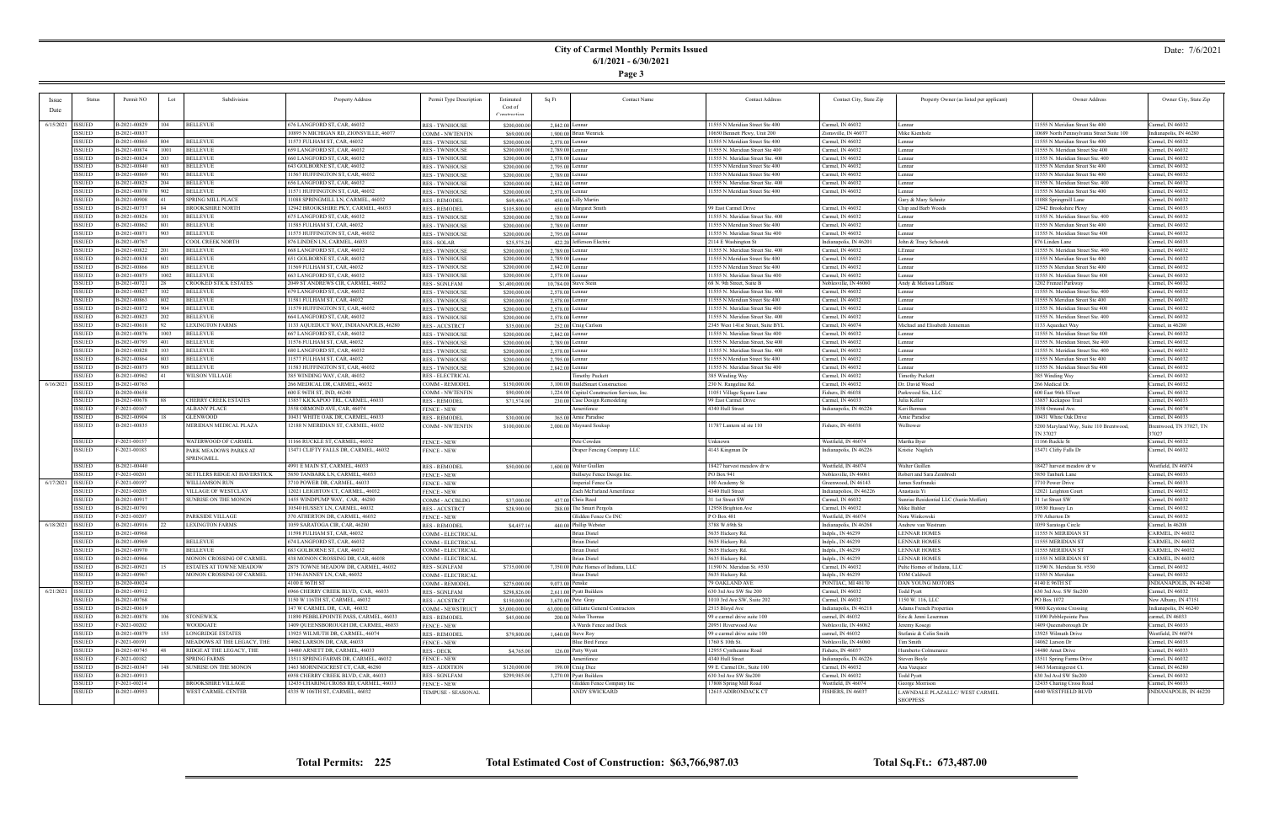**Page 3**

#### Date: 7/6/2021

| Issue              | Status        | Permit NO      | Lot           | Subdivision                     | Property Address                       | Permit Type Description | Estimated      | Sq Ft           | <b>Contact Name</b>                          | <b>Contact Address</b>            | Contact City, State Zip | Property Owner (as listed per applicant)          | Owner Address                                       | Owner City, State Zip           |
|--------------------|---------------|----------------|---------------|---------------------------------|----------------------------------------|-------------------------|----------------|-----------------|----------------------------------------------|-----------------------------------|-------------------------|---------------------------------------------------|-----------------------------------------------------|---------------------------------|
| Date               |               |                |               |                                 |                                        |                         | Cost of        |                 |                                              |                                   |                         |                                                   |                                                     |                                 |
|                    |               |                |               |                                 |                                        |                         |                |                 |                                              |                                   |                         |                                                   |                                                     |                                 |
| 6/15/2021   ISSUED |               | B-2021-00829   | $ 104\rangle$ | <b>BELLEVUE</b>                 | 676 LANGFORD ST, CAR, 46032            | <b>RES - TWNHOUSE</b>   | \$200,000.00   | 2,842.00 Lennar |                                              | 11555 N Meridian Street Ste 400   | Carmel, IN 46032        | Lennar                                            | 1555 N Meridian Street Ste 400                      | Carmel, IN 46032                |
|                    | <b>ISSUED</b> | B-2021-00837   |               |                                 | 0895 N MICHIGAN RD, ZIONSVILLE, 46077  | COMM - NWTENFIN         | \$69,000.00    |                 | 1,900,00 Brian Wenrick                       | 10650 Bennett Pkwy, Unit 200      | Zionsville, IN 46077    | Mike Kienholz                                     | 10689 North Pennsylvania Street Suite 100           | Indianapolis, IN 46280          |
|                    | <b>ISSUED</b> | B-2021-00865   | 804           | <b>BELLEVUE</b>                 | 11573 FULHAM ST, CAR, 46032            | <b>RES - TWNHOUSE</b>   | \$200,000.00   | 2,578.00 Lennar |                                              | 11555 N Meridian Street Ste 400   | Carmel, IN 46032        | Lennar                                            | 11555 N Meridian Street Ste 400                     | Carmel, IN 46032                |
|                    | <b>ISSUED</b> | B-2021-00874   | 1001          | <b>BELLEVUE</b>                 | 659 LANGFORD ST, CAR, 46032            | <b>RES - TWNHOUSE</b>   | \$200,000.00   | 2,789.00 Lennar |                                              | 11555 N. Meridian Street Ste 400  | Carmel, IN 46032        | Lennar                                            | 11555 N. Meridian Street Ste 400                    | Carmel, IN 46032                |
|                    | <b>ISSUED</b> | B-2021-00824   |               | BELLEVUE                        | 660 LANGFORD ST, CAR, 46032            | <b>RES - TWNHOUSE</b>   | \$200,000.00   | 2,578.00 Lennar |                                              | 11555 N. Meridian Street Ste. 400 | Carmel, IN 46032        | Lennai                                            | 11555 N. Meridian Street Ste. 400                   | Carmel, IN 46032                |
|                    | <b>ISSUED</b> | B-2021-00840   | 603           | <b>BELLEVUE</b>                 | 643 GOLBORNE ST, CAR, 46032            | <b>RES - TWNHOUSE</b>   | \$200,000.00   | 2,795.00 Lennar |                                              | 11555 N Meridian Street Ste 400   | Carmel, IN 46032        | Lennar                                            | 11555 N Meridian Street Ste 400                     | Carmel, IN 46032                |
|                    | <b>ISSUED</b> | B-2021-00869   | 901           | <b>BELLEVUE</b>                 | 1567 HUFFINGTON ST, CAR, 46032         | <b>RES - TWNHOUSE</b>   | \$200,000.00   | 2,789.00 Lennar |                                              | 11555 N Meridian Street Ste 400   | Carmel, IN 46032        | Lennar                                            | 11555 N Meridian Street Ste 400                     | Carmel, IN 46032                |
|                    | <b>ISSUED</b> | B-2021-00825   |               | BELLEVUE                        | 656 LANGFORD ST, CAR, 46032            | <b>RES - TWNHOUSE</b>   | \$200,000.00   |                 | 2,842.00 Lennar                              | 11555 N. Meridian Street Ste. 400 | Carmel, IN 46032        | Lennar                                            | 11555 N. Meridian Street Ste. 400                   | Carmel, IN 46032                |
|                    | <b>ISSUED</b> | B-2021-00870   | 902           | <b>BELLEVUE</b>                 | 11571 HUFFINGTON ST, CAR, 46032        | <b>RES - TWNHOUSE</b>   | \$200,000.00   |                 | 2,578.00 Lennar                              | 11555 N Meridian Street Ste 400   | Carmel, IN 46032        | Lennar                                            | 11555 N Meridian Street Ste 400                     | Carmel, IN 46032                |
|                    | <b>ISSUED</b> | B-2021-00908   |               | <b>SPRING MILL PLACE</b>        | 1088 SPRINGMILL LN, CARMEL, 46032      | <b>RES - REMODEL</b>    | \$69,406.6     |                 | 450.00 Lilly Martin                          |                                   |                         | Gary & Mary Schnitz                               | 11088 Springmill Land                               | Carmel, IN 46032                |
|                    | <b>ISSUED</b> | B-2021-00737   |               | <b>BROOKSHIRE NORTH</b>         | 2942 BROOKSHIRE PKY, CARMEL, 46033     | <b>RES - REMODEL</b>    | \$105,800.00   |                 | 650.00 Margaret Smith                        | 99 East Carmel Drive              | Carmel, IN 46032        | Chip and Barb Woods                               | 12942 Brookshire Pkwy                               | Carmel, IN 46033                |
|                    | <b>ISSUED</b> | B-2021-00826   |               | BELLEVUE                        | 675 LANGFORD ST, CAR, 46032            | <b>RES - TWNHOUSI</b>   | \$200,000.00   |                 | 2,789.00 Lennar                              | 11555 N. Meridian Street Ste. 400 | Carmel, IN 46032        | Lennar                                            | 11555 N. Meridian Street Ste. 400                   | Carmel, IN 46032                |
|                    | <b>ISSUED</b> | B-2021-00862   | 801           | <b>BELLEVUE</b>                 | 1585 FULHAM ST, CAR, 46032             | <b>RES - TWNHOUSE</b>   | \$200,000.00   | 2,789.00 Lennar |                                              | 11555 N Meridian Street Ste 400   | Carmel, IN 46032        | Lennar                                            | 11555 N Meridian Street Ste 400                     | Carmel, IN 46032                |
|                    | <b>ISSUED</b> | B-2021-00871   | 903           | <b>BELLEVUE</b>                 | 1575 HUFFINGTON ST, CAR, 46032         | <b>RES - TWNHOUSE</b>   | \$200,000.00   | 2,795.00 Lennar |                                              | 11555 N. Meridian Street Ste 400  | Carmel, IN 46032        | Lennar                                            | 11555 N. Meridian Street Ste 400                    | Carmel, IN 46032                |
|                    | <b>ISSUED</b> | B-2021-00767   |               | COOL CREEK NORTH                | 876 LINDEN LN, CARMEL, 46033           | <b>RES - SOLAR</b>      | \$25,575.2     |                 | 422.20 Jefferson Electric                    | 2114 E Washington St              | Indianapolis, IN 4620   | John & Tracy Schostek                             | 876 Linden Lane                                     | Carmel, IN 46033                |
|                    | <b>ISSUED</b> | B-2021-00822   |               | <b>BELLEVUE</b>                 | 668 LANGFORD ST, CAR, 46032            | <b>RES - TWNHOUSE</b>   | \$200,000.00   | 2.789.00 Lennar |                                              | 11555 N. Meridian Street Ste. 400 | Carmel, IN 46032        | LEnnar                                            | 11555 N. Meridian Street Ste. 400                   | Carmel, IN 46032                |
|                    | <b>ISSUED</b> | B-2021-00838   | 601           | <b>BELLEVUE</b>                 | 651 GOLBORNE ST, CAR, 46032            | <b>RES - TWNHOUSE</b>   | \$200,000.00   | 2,789.00 Lennar |                                              | 11555 N Meridian Street Ste 400   | Carmel, IN 46032        | Lennar                                            | 11555 N Meridian Street Ste 400                     | Carmel, IN 46032                |
|                    | <b>ISSUED</b> | B-2021-00866   | 805           | <b>BELLEVUE</b>                 | 11569 FULHAM ST, CAR, 46032            | <b>RES - TWNHOUSE</b>   | \$200,000.00   | 2,842.00 Lennar |                                              | 11555 N Meridian Street Ste 400   | Carmel, IN 46032        | Lennar                                            | 11555 N Meridian Street Ste 400                     | Carmel, IN 46032                |
|                    | <b>ISSUED</b> | B-2021-00875   | 1002          | <b>BELLEVUE</b>                 | 663 LANGFORD ST, CAR, 46032            | <b>RES - TWNHOUSE</b>   | \$200,000.00   | 2,578.00 Lennar |                                              | 11555 N. Meridian Street Ste 400  | Carmel, IN 46032        | Lennar                                            | 11555 N. Meridian Street Ste 400                    | Carmel, IN 46032                |
|                    | <b>ISSUED</b> | B-2021-00721   |               | <b>CROOKED STICK ESTATES</b>    | 2049 ST ANDREWS CIR, CARMEL, 46032     | <b>RES - SGNLFAM</b>    | \$1,400,000.00 |                 | 10,784.00 Steve Stein                        | 68 N. 9th Street, Suite B         | Noblesville, IN 46060   | Andy & Melissa LeBland                            | 1202 Frenzel Parkway                                | Carmel, IN 46032                |
|                    | <b>ISSUED</b> | B-2021-00827   |               | <b>BELLEVUE</b>                 | 679 LANGFORD ST, CAR, 46032            | <b>RES - TWNHOUSE</b>   | \$200,000.00   | 2,578.00 Lennar |                                              | 11555 N. Meridian Street Ste. 400 | Carmel, IN 46032        | Lennar                                            | 11555 N. Meridian Street Ste. 400                   | Carmel, IN 46032                |
|                    | <b>ISSUED</b> | B-2021-00863   | 802           | BELLEVUE                        | 1581 FULHAM ST, CAR, 46032             | <b>RES - TWNHOUSE</b>   | \$200,000.00   | 2,578.00 Lennar |                                              | 11555 N Meridian Street Ste 400   | Carmel, IN 46032        | Lennar                                            | 11555 N Meridian Street Ste 400                     | Carmel, IN 46032                |
|                    | <b>ISSUED</b> | B-2021-00872   | 904           | <b>BELLEVUE</b>                 | 11579 HUFFINGTON ST, CAR, 46032        | <b>RES - TWNHOUSE</b>   | \$200,000.00   | 2,578.00 Lennar |                                              | 11555 N. Meridian Street Ste 400  | Carmel, IN 46032        | Lennar                                            | 11555 N. Meridian Street Ste 400                    | Carmel, IN 46032                |
|                    | <b>ISSUED</b> | B-2021-00823   | 202           | <b>BELLEVUE</b>                 | 664 LANGFORD ST, CAR, 46032            | <b>RES - TWNHOUSE</b>   | \$200,000.00   | 2,578.00 Lennar |                                              | 11555 N. Meridian Street Ste. 400 | Carmel, IN 46032        | Lennar                                            | 11555 N. Meridian Street Ste. 400                   | Carmel, IN 46032                |
|                    | <b>ISSUED</b> | B-2021-00618   |               | LEXINGTON FARMS                 | 1133 AQUEDUCT WAY, INDIANAPOLIS, 46280 | <b>RES-ACCSTRCT</b>     | \$35,000.00    |                 | 252.00 Craig Carlson                         | 2345 West 141st Street, Suite BYI | Carmel, IN 46074        | Michael and Elisabeth Jenneman                    | 1133 Aqueduct Way                                   | Carmel, in 46280                |
|                    | <b>ISSUED</b> | B-2021-00876   | 1003          | <b>BELLEVUE</b>                 | 667 LANGFORD ST, CAR, 46032            | <b>RES - TWNHOUSE</b>   | \$200,000.00   | 2,842.00 Lennar |                                              | 11555 N. Meridian Street Ste 400  | Carmel, IN 46032        | Lennar                                            | 11555 N. Meridian Street Ste 400                    | Carmel, IN 46032                |
|                    | <b>ISSUED</b> | B-2021-00793   | 401           | <b>BELLEVUE</b>                 | 11576 FULHAM ST, CAR, 46032            | <b>RES - TWNHOUSE</b>   | \$200,000.00   | 2,789.00 Lennar |                                              | 11555 N. Meridian Street, Ste 400 | Carmel, IN 46032        | Lennar                                            | 11555 N. Meridian Street, Ste 400                   | Carmel, IN 46032                |
|                    | <b>ISSUED</b> | B-2021-00828   |               | BELLEVUE                        | 680 LANGFORD ST, CAR, 46032            | <b>RES-TWNHOUSE</b>     | \$200,000.00   |                 | 2,578.00 Lennar                              | 11555 N. Meridian Street Ste. 400 | Carmel, IN 46032        | Lennai                                            | 11555 N. Meridian Street Ste. 400                   | Carmel, IN 46032                |
|                    | <b>ISSUED</b> | B-2021-00864   | 803           | <b>BELLEVUE</b>                 | 11577 FULHAM ST, CAR, 46032            | <b>RES - TWNHOUSE</b>   | \$200,000.0    |                 | 2,795.00 Lennar                              | 11555 N Meridian Street Ste 400   | Carmel, IN 46032        | Lennar                                            | 11555 N Meridian Street Ste 400                     | Carmel, IN 46032                |
|                    | <b>ISSUED</b> | B-2021-00873   | 905           | <b>BELLEVUE</b>                 | 1583 HUFFINGTON ST, CAR, 46032         | <b>RES - TWNHOUSE</b>   | \$200,000.00   | 2,842.00 Lennar |                                              | 11555 N. Meridian Street Ste 400  | Carmel, IN 46032        | Lennar                                            | 11555 N. Meridian Street Ste 400                    | Carmel, IN 46032                |
|                    | <b>ISSUED</b> | B-2021-00962   |               | WILSON VILLAGE                  | 385 WINDING WAY, CAR, 46032            | <b>RES - ELECTRICAL</b> |                |                 | <b>Fimothy Puckett</b>                       | 385 Winding Way                   | Carmel, IN 46032        | <b>Timothy Puckett</b>                            | 385 Winding Way                                     | Carmel, IN 46032                |
| 6/16/2021   ISSUED |               | B-2021-00765   |               |                                 | 266 MEDICAL DR, CARMEL, 46032          | COMM - REMODEI          | \$150,000.00   |                 | 3,100,00 BuildSmart Construction             | 230 N. Rangeline Rd.              | Carmel, IN 46032        | Dr. David Wood                                    | 266 Medical Dr.                                     | Carmel, IN 46032                |
|                    | <b>ISSUED</b> | B-2020-00658   |               |                                 | 600 E 96TH ST, IND, 46240              | COMM - NWTENFIN         | \$90,000.00    |                 | 1.224.00 Capitol Construction Services, Inc. | 11051 Village Square Lane         | Fishers, IN 46038       | Parkwood Six, LLC                                 | 600 East 96th STreet                                | Carmel, IN 46032                |
|                    | <b>ISSUED</b> | B-2021-00678   |               | CHERRY CREEK ESTATES            | 3857 KICKAPOO TRL, CARMEL, 46033       | <b>RES - REMODEL</b>    | \$71,574.00    |                 | 230.00 Case Design Remodeling                | 99 East Carmel Drive              | Carmel, IN 46033        | Julia Keller                                      | 13857 Kickapoo Trail                                | Carmel, IN 46033                |
|                    | <b>ISSUED</b> | F-2021-00167   |               | ALBANY PLACE                    | 3558 ORMOND AVE, CAR, 46074            | <b>FENCE - NEW</b>      |                |                 | Amerifence                                   | 4340 Hull Street                  | Indianapolis, IN 46226  | Keri Berman                                       | 3558 Ormond Ave.                                    | Carmel, IN 46074                |
|                    | <b>ISSUED</b> |                |               | <b>GLENWOOD</b>                 | 10431 WHITE OAK DR, CARMEL, 46033      | <b>RES - REMODEL</b>    | \$30,000.00    |                 | 365.00 Amie Paradise                         |                                   |                         | Amie Paradise                                     | 10431 White Oak Drive                               | Carmel, IN 46033                |
|                    |               | B-2021-00904   |               |                                 |                                        |                         |                |                 |                                              |                                   |                         |                                                   |                                                     |                                 |
|                    | <b>ISSUED</b> | B-2021-00835   |               | MERIDIAN MEDICAL PLAZA          | 2188 N MERIDIAN ST, CARMEL, 46032      |                         |                |                 |                                              | 11787 Lantern rd ste 110          | Fishers, IN 46038       | Welltower                                         |                                                     |                                 |
|                    |               |                |               |                                 |                                        | <b>COMM - NWTENFIN</b>  | \$100,000.00   |                 | 2,000.00 Maynard Soukup                      |                                   |                         |                                                   | 5200 Maryland Way, Suite 110 Brentwood,<br>TN 37027 | Brentwood, TN 37027, TN<br>7027 |
|                    | <b>ISSUED</b> | F-2021-00157   |               | WATERWOOD OF CARMEI             | 1166 RUCKLE ST, CARMEL, 46032          | <b>FENCE - NEW</b>      |                |                 | Pete Cowden                                  | Unknown                           | Westfield, IN 46074     | Martha Byer                                       | 11166 Ruckle St                                     | Carmel, IN 46032                |
|                    | <b>ISSUED</b> | F-2021-00183   |               | PARK MEADOWS PARKS AT           | 3471 CLIFTY FALLS DR, CARMEL, 46032    | <b>FENCE - NEW</b>      |                |                 | Draper Fencing Company LLC                   | 4143 Kingman Dr                   | Indianapolis, IN 46226  | Kristie Naglich                                   | 13471 Clifty Falls Dr                               | Carmel, IN 46032                |
|                    |               |                |               | SPRINGMILL                      |                                        |                         |                |                 |                                              |                                   |                         |                                                   |                                                     |                                 |
|                    | <b>ISSUED</b> | B-2021-00440   |               |                                 | 4991 E MAIN ST, CARMEL, 46033          | <b>RES - REMODEL</b>    | \$50,000.00    |                 | 1,600.00 Walter Guillen                      | 18427 harvest meadow dr w         | Westfield, IN 46074     | Walter Guillen                                    | 18427 harvest meadow dr w                           | Westfield, IN 46074             |
|                    | <b>ISSUED</b> | F-2021-00201   |               | SETTLERS RIDGE AT HAVERSTICK    | 5850 TANBARK LN, CARMEL, 46033         | <b>FENCE - NEW</b>      |                |                 | Bullseye Fence Design Inc.                   | <b>PO Box 941</b>                 | Noblesville, IN 46061   | Robert and Sara Zembrodt                          | 5850 Tanbark Lane                                   | Carmel, IN 46033                |
| 6/17/2021   ISSUED |               | F-2021-00197   |               | WILLIAMSON RUN                  | 3710 POWER DR, CARMEL, 46033           | <b>FENCE - NEW</b>      |                |                 | Imperial Fence Co                            | 100 Academy St                    | Greenwood, IN 46143     | James Szafransk                                   | 3710 Power Drive                                    | Carmel, IN 46033                |
|                    | <b>ISSUED</b> | F-2021-00205   |               | VILLAGE OF WESTCLAY             | 2021 LEIGHTON CT, CARMEL, 46032        | <b>FENCE - NEW</b>      |                |                 | Zach McFarland Amerifence                    | 4340 Hull Street                  | Indianapolios, IN 46226 | Anastasia Yi                                      | 12021 Leighton Court                                | Carmel, IN 46032                |
|                    | <b>ISSUED</b> | B-2021-00917   |               | <b>SUNRISE ON THE MONON</b>     | 1455 WINDPUMP WAY, CAR, 46280          | COMM - ACCBLDG          | \$37,000.00    |                 | 437.00 Chris Reed                            | 31 1st Street SW                  | Carmel, IN 46032        | Sunrise Residential LLC (Justin Moffett)          | 31 1st Street SW                                    | Carmel, IN 46032                |
|                    | <b>ISSUED</b> | B-2021-00791   |               |                                 | 0540 HUSSEY LN, CARMEL, 46032          | <b>RES - ACCSTRCT</b>   | \$28,900.00    |                 | 288.00 The Smart Pergola                     | 12958 Brighton Ave                | Carmel, IN 46032        | Mike Bahler                                       | 10530 Hussey Ln                                     | Carmel, IN 46032                |
|                    | <b>ISSUED</b> | F-2021-00207   |               | PARKSIDE VILLAGE                | 370 ATHERTON DR, CARMEL, 46032         | <b>FENCE - NEW</b>      |                |                 | Glidden Fence Co INC                         | $P$ O Box 481                     | Westfield, IN 46074     | Nora Winkowski                                    | 370 Atherton Dr                                     | Carmel, IN 46032                |
| 6/18/2021   ISSUED |               | B-2021-00916   |               | <b>LEXINGTON FARMS</b>          | 059 SARATOGA CIR, CAR, 46280           | <b>RES - REMODEL</b>    | \$4,457.16     |                 | 440.00 Phillip Webster                       | 3788 W.69th St                    | Indianapolis, IN 46268  | Andrew van Westrum                                | 1059 Saratoga Circle                                | Carmel, In 46208                |
|                    | <b>ISSUED</b> | B-2021-00968   |               |                                 | 1598 FULHAM ST, CAR, 46032             | COMM - ELECTRICAL       |                |                 | Brian Distel                                 | 5635 Hickory Rd                   | Indpls., IN 46239       | <b>LENNAR HOMES</b>                               | 11555 N MERIDIAN ST                                 | CARMEL, IN 46032                |
|                    | <b>ISSUED</b> | B-2021-00969   |               | BELLEVUE                        | 674 LANGFORD ST, CAR, 46032            | COMM - ELECTRICAL       |                |                 | Brian Distel                                 | 5635 Hickory Rd                   | Indpls., IN 46239       | <b>LENNAR HOMES</b>                               | 11555 MERIDIAN ST                                   | CARMEL, IN 46032                |
|                    | <b>ISSUED</b> | l B-2021-00970 |               | BELLEVUE                        | 683 GOLBORNE ST, CAR, 46032            | COMM - ELECTRICAL       |                |                 | <b>Brian Distel</b>                          | 5635 Hickory Rd.                  | Indpls., IN 46239       | I LENNAR HOMES                                    | 11555 MERIDIAN ST                                   | CARMEL. IN 4603.                |
|                    | <b>ISSUED</b> | B-2021-00966   |               | MONON CROSSING OF CARMEL        | 438 MONON CROSSING DR, CAR, 46038      | COMM - ELECTRICAL       |                |                 | <b>Brian Distel</b>                          | 5635 Hickory Rd.                  | Indpls., IN 46239       | <b>LENNAR HOMES</b>                               | 11555 N MERIDIAN ST                                 | CARMEL, IN 46032                |
|                    | <b>ISSUED</b> | B-2021-00921   |               | ESTATES AT TOWNE MEADOW         | 2875 TOWNE MEADOW DR, CARMEL, 46032    | RES - SGNLFAM           | \$735,000.00   |                 | 7.350.00 Pulte Homes of Indiana, LLC         | 11590 N. Meridian St. #530        | Carmel, IN 46032        | Pulte Homes of Indiana, LLC                       | 11590 N. Meridian St. #530                          | Carmel, IN 46032                |
|                    | <b>ISSUED</b> | B-2021-00967   |               | <b>MONON CROSSING OF CARMEL</b> | 13746 JANNEY LN, CAR, 46032            | COMM - ELECTRICAL       |                |                 | <b>Brian Distel</b>                          | 5635 Hickory Rd.                  | Indpls., IN 46239       | TOM Caldwell                                      | 11555 N Meridian                                    | Carmel, IN 46032                |
|                    | <b>ISSUED</b> | B-2020-00024   |               |                                 | 4100 E 96TH ST                         | COMM - REMODEL          | \$275,000.00   | 9,073.00 Penske |                                              | 79 OAKLAND AVE                    | PONTIAC, MI 48170       | <b>DAN YOUNG MOTORS</b>                           | 4140 E 96TH ST                                      | INDIANAPOLIS, IN 46240          |
| 6/21/2021 ISSUED   |               | B-2021-00912   |               |                                 | 6966 CHERRY CREEK BLVD, CAR, 46033     | <b>RES - SGNLFAM</b>    | \$298,826.00   |                 | 2,611.00 Pyatt Builders                      | 630 3rd Ave SW Ste 200            | Carmel, IN 46032        | <b>Todd Pyatt</b>                                 | 630 3rd Ave. SW Ste200                              | Carmel, IN 46032                |
|                    | <b>ISSUED</b> | B-2021-00768   |               |                                 | 1150 W 116TH ST, CARMEL, 46032         | RES - ACCSTRCT          | \$150,000.00   |                 | 3,670,00 Pete Gray                           | 1010 3rd Ave SW, Suite 202        | Carmel, IN 46032        | 1150 W. 116, LLC                                  | PO Box 1072                                         | New Albany, IN 47151            |
|                    | <b>ISSUED</b> | B-2021-00619   |               |                                 | 147 W CARMEL DR, CAR, 46032            | COMM - NEWSTRUCT        | \$5,000,000.00 |                 | 63.000.00 Gilliatte General Contractors      | 2515 Bloyd Ave                    | Indianapolis, IN 46218  | <b>Adams French Properties</b>                    | 9000 Keystone Crossing                              | Indianapolis, IN 46240          |
|                    | <b>ISSUED</b> | B-2021-00878   |               | <b>STONEWICK</b>                | 1890 PEBBLEPOINTE PASS, CARMEL, 46033  | <b>RES - REMODEL</b>    | \$45,000.00    |                 | 200.00 Nolan Thomas                          | 99 e carmel drive suite 100       | carmel, IN 46032        | Eric & Jenni Leserman                             | 11890 Pebblepointe Pass                             | carmel, IN 46033                |
|                    | <b>ISSUED</b> | F-2021-00202   |               | WOODGATE                        | 409 QUEENSBOROUGH DR, CARMEL, 46033    | <b>FENCE - NEW</b>      |                |                 | A Wards Fence and Deck                       | 20951 Riverwood Ave               | Noblesville, IN 46062   | Jeremy Kosegi                                     | 1409 Queensborough Dr                               | Carmel, IN 46033                |
|                    | <b>ISSUED</b> | B-2021-00879   | 55            | LONGRIDGE ESTATES               | 3925 WILMUTH DR, CARMEL, 46074         | <b>RES - REMODEL</b>    | \$79,800.00    |                 | 1,640,00 Steve Roy                           | 99 e carmel drive suite 100       | carmel, IN 46032        | Stefanie & Colin Smith                            | 13925 Wilmuth Drive                                 | Westfield, IN 46074             |
|                    | <b>ISSUED</b> | F-2021-00191   |               | MEADOWS AT THE LEGACY, THE      | 14062 LARSON DR, CAR, 46033            | <b>FENCE - NEW</b>      |                |                 | <b>Blue Bird Fence</b>                       | 1760 S 10th St.                   | Noblesville, IN 46060   | Tim Smith                                         | 14062 Larson Dr                                     | Carmel, IN 46033                |
|                    | <b>ISSUED</b> | B-2021-00745   |               | RIDGE AT THE LEGACY, THE        | 4480 ARNETT DR, CARMEL, 46033          | RES - DECK              | \$4,765.00     |                 | 126.00 Patty Wyatt                           | 12955 Cyntheanne Road             | Fishers, IN 46037       | Humberto Colmenarez                               | 14480 Arnet Drive                                   | Carmel, IN 46033                |
|                    | <b>ISSUED</b> | F-2021-00182   |               | SPRING FARMS                    | 3511 SPRING FARMS DR, CARMEL, 46032    | <b>FENCE - NEW</b>      |                |                 | Amerifence                                   | 4340 Hull Street                  | Indianapolis, IN 46226  | Steven Boyle                                      | 13511 Spring Farms Drive                            | Carmel, IN 46032                |
|                    | <b>ISSUED</b> | B-2021-00347   | 148           | SUNRISE ON THE MONON            | 1463 MORNINGCREST CT, CAR, 46280       | <b>RES - ADDITION</b>   | \$120,000.00   |                 | 198.00 Craig Dice                            | 99 E. Carmel Dr., Suite 100       | Carmel, IN 46032        | Ana Vazquez                                       | 1463 Morningcrest Ct.                               | Carmel, IN 46280                |
|                    | <b>ISSUED</b> | B-2021-00913   |               |                                 | 6958 CHERRY CREEK BLVD, CAR, 46033     | <b>RES - SGNLFAM</b>    | \$299,985.00   |                 | 3,270.00 Pyatt Builders                      | 630 3rd Ave SW Ste200             | Carmel, IN 46032        | <b>Todd Pyatt</b>                                 | 630 3rd Avd SW Ste200                               | Carmel, IN 46032                |
|                    | <b>ISSUED</b> | F-2021-00214   |               | BROOKSHIRE VILLAGE              | 12435 CHARING CROSS RD, CARMEL, 46033  | <b>FENCE - NEW</b>      |                |                 | Glidden Fence Company Inc                    | 17808 Spring Mill Road            | Westfield, IN 46074     | George Morrison                                   | 12435 Charing Cross Road                            | Carmel, IN 46033                |
|                    | <b>ISSUED</b> | B-2021-00953   |               | WEST CARMEL CENTER              | 4335 W 106TH ST, CARMEL, 46032         | TEMPUSE - SEASONAL      |                |                 | ANDY SWICKARD                                | 12615 ADIRONDACK CT               | FISHERS, IN 46037       | LAWNDALE PLAZALLC/ WEST CARMEL<br><b>SHOPPESS</b> | 6440 WESTFIELD BLVD                                 | INDIANAPOLIS, IN 46220          |

÷